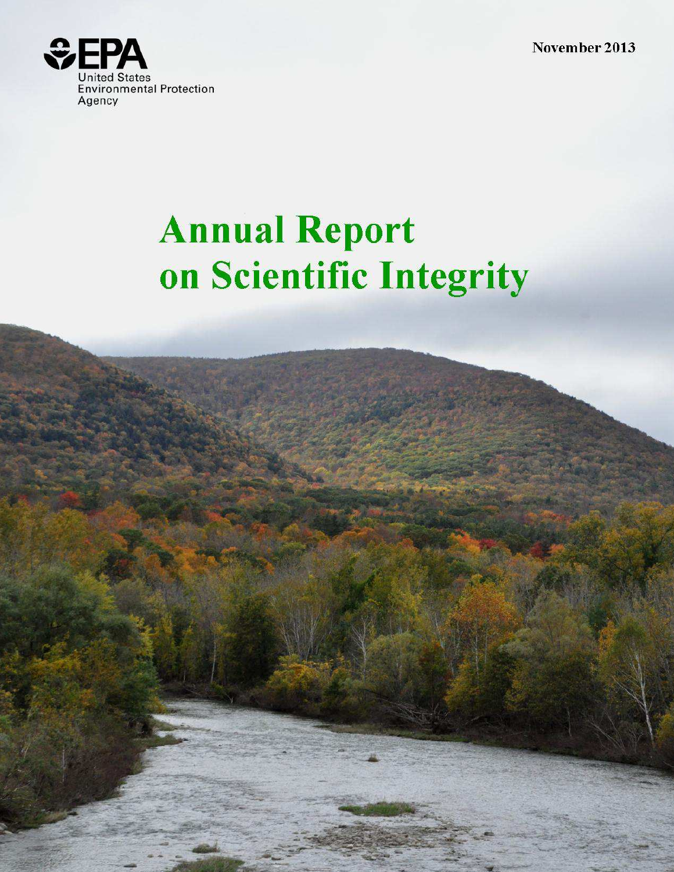November 2013



# **Annual Report** on Scientific Integrity

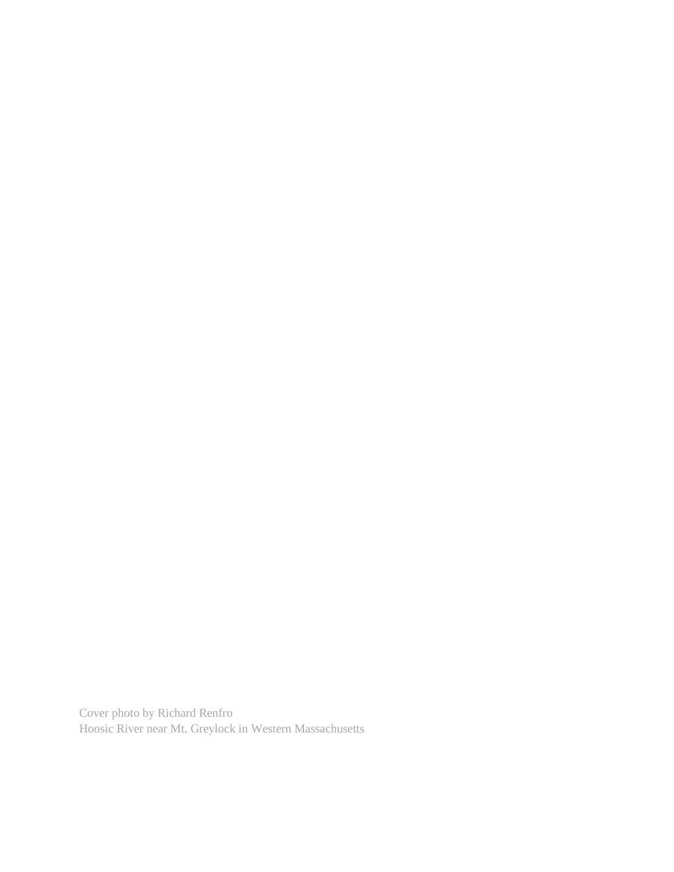Cover photo by Richard Renfro Hoosic River near Mt. Greylock in Western Massachusetts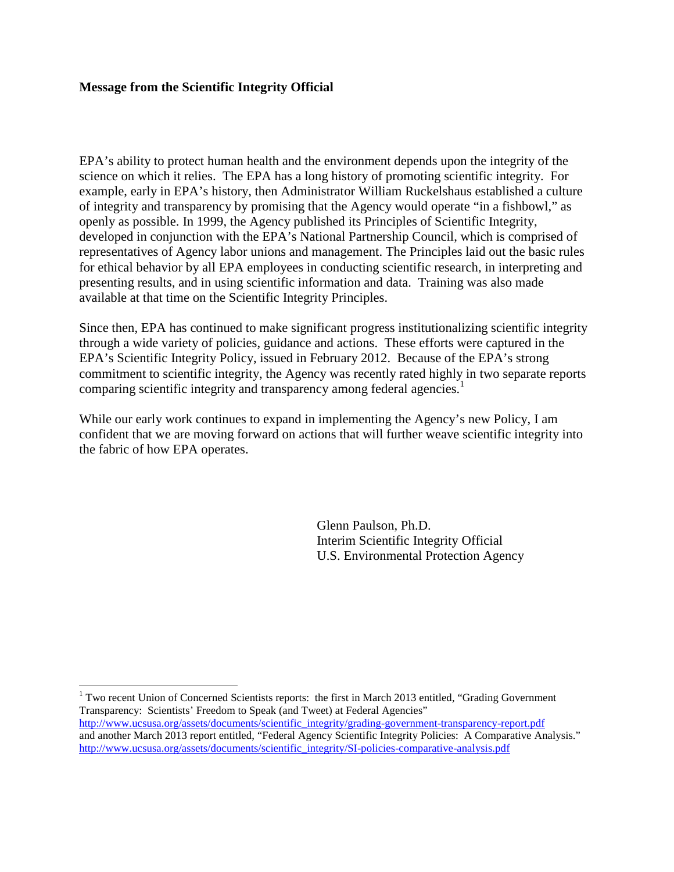#### **Message from the Scientific Integrity Official**

 $\overline{a}$ 

 EPA's ability to protect human health and the environment depends upon the integrity of the science on which it relies. The EPA has a long history of promoting scientific integrity. For example, early in EPA's history, then Administrator William Ruckelshaus established a culture of integrity and transparency by promising that the Agency would operate "in a fishbowl," as openly as possible. In 1999, the Agency published its Principles of Scientific Integrity, developed in conjunction with the EPA's National Partnership Council, which is comprised of representatives of Agency labor unions and management. The Principles laid out the basic rules for ethical behavior by all EPA employees in conducting scientific research, in interpreting and presenting results, and in using scientific information and data. Training was also made available at that time on the Scientific Integrity Principles.

 Since then, EPA has continued to make significant progress institutionalizing scientific integrity through a wide variety of policies, guidance and actions. These efforts were captured in the EPA's Scientific Integrity Policy, issued in February 2012. Because of the EPA's strong commitment to scientific integrity, the Agency was recently rated highly in two separate reports comparing scientific integrity and transparency among federal agencies.<sup>1</sup>

 While our early work continues to expand in implementing the Agency's new Policy, I am confident that we are moving forward on actions that will further weave scientific integrity into the fabric of how EPA operates.

> Glenn Paulson, Ph.D. Interim Scientific Integrity Official U.S. Environmental Protection Agency

 $1$  Two recent Union of Concerned Scientists reports: the first in March 2013 entitled, "Grading Government" Transparency: Scientists' Freedom to Speak (and Tweet) at Federal Agencies" http://www.ucsusa.org/assets/documents/scientific\_integrity/grading-government-transparency-report.pdf

 and another March 2013 report entitled, "Federal Agency Scientific Integrity Policies: A Comparative Analysis." http://www.ucsusa.org/assets/documents/scientific\_integrity/SI-policies-comparative-analysis.pdf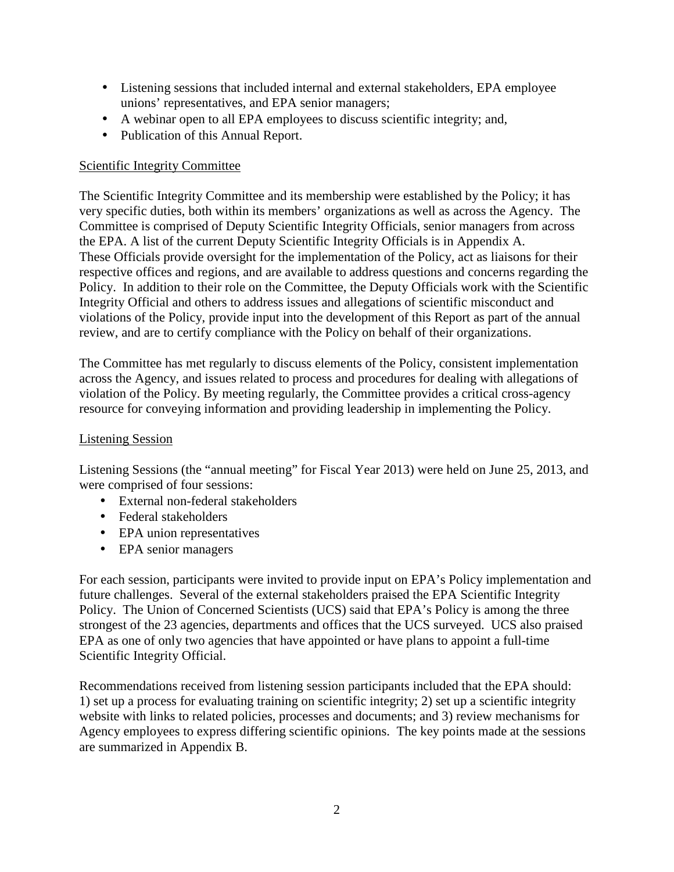- Listening sessions that included internal and external stakeholders, EPA employee unions' representatives, and EPA senior managers;
- • A webinar open to all EPA employees to discuss scientific integrity; and,
- Publication of this Annual Report.

#### Scientific Integrity Committee

 The Scientific Integrity Committee and its membership were established by the Policy; it has very specific duties, both within its members' organizations as well as across the Agency. The Committee is comprised of Deputy Scientific Integrity Officials, senior managers from across the EPA. A list of the current Deputy Scientific Integrity Officials is in Appendix A. These Officials provide oversight for the implementation of the Policy, act as liaisons for their respective offices and regions, and are available to address questions and concerns regarding the Policy. In addition to their role on the Committee, the Deputy Officials work with the Scientific Integrity Official and others to address issues and allegations of scientific misconduct and violations of the Policy, provide input into the development of this Report as part of the annual review, and are to certify compliance with the Policy on behalf of their organizations.

 The Committee has met regularly to discuss elements of the Policy, consistent implementation across the Agency, and issues related to process and procedures for dealing with allegations of violation of the Policy. By meeting regularly, the Committee provides a critical cross-agency resource for conveying information and providing leadership in implementing the Policy.

#### Listening Session

 Listening Sessions (the "annual meeting" for Fiscal Year 2013) were held on June 25, 2013, and were comprised of four sessions:

- • External non-federal stakeholders
- Federal stakeholders
- EPA union representatives
- EPA senior managers

 For each session, participants were invited to provide input on EPA's Policy implementation and future challenges. Several of the external stakeholders praised the EPA Scientific Integrity Policy. The Union of Concerned Scientists (UCS) said that EPA's Policy is among the three strongest of the 23 agencies, departments and offices that the UCS surveyed. UCS also praised EPA as one of only two agencies that have appointed or have plans to appoint a full-time Scientific Integrity Official.

 Recommendations received from listening session participants included that the EPA should: 1) set up a process for evaluating training on scientific integrity; 2) set up a scientific integrity website with links to related policies, processes and documents; and 3) review mechanisms for Agency employees to express differing scientific opinions. The key points made at the sessions are summarized in Appendix B.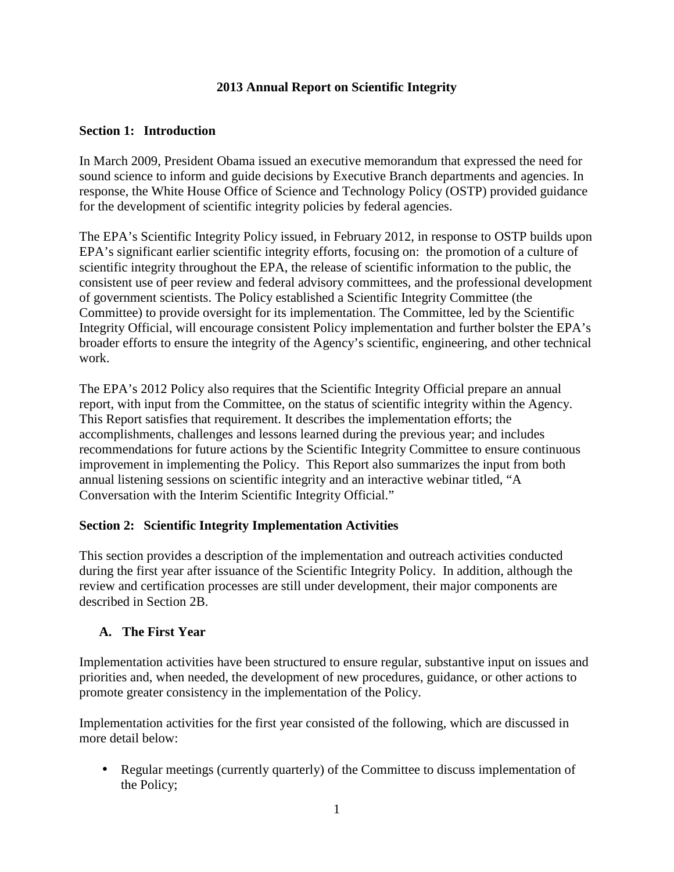#### **2013 Annual Report on Scientific Integrity**

#### **Section 1: Introduction**

 In March 2009, President Obama issued an executive memorandum that expressed the need for sound science to inform and guide decisions by Executive Branch departments and agencies. In response, the White House Office of Science and Technology Policy (OSTP) provided guidance for the development of scientific integrity policies by federal agencies.

 The EPA's Scientific Integrity Policy issued, in February 2012, in response to OSTP builds upon EPA's significant earlier scientific integrity efforts, focusing on: the promotion of a culture of scientific integrity throughout the EPA, the release of scientific information to the public, the consistent use of peer review and federal advisory committees, and the professional development of government scientists. The Policy established a Scientific Integrity Committee (the Committee) to provide oversight for its implementation. The Committee, led by the Scientific Integrity Official, will encourage consistent Policy implementation and further bolster the EPA's broader efforts to ensure the integrity of the Agency's scientific, engineering, and other technical work.

work.<br>The EPA's 2012 Policy also requires that the Scientific Integrity Official prepare an annual report, with input from the Committee, on the status of scientific integrity within the Agency. This Report satisfies that requirement. It describes the implementation efforts; the accomplishments, challenges and lessons learned during the previous year; and includes recommendations for future actions by the Scientific Integrity Committee to ensure continuous improvement in implementing the Policy. This Report also summarizes the input from both annual listening sessions on scientific integrity and an interactive webinar titled, "A Conversation with the Interim Scientific Integrity Official."

#### **Section 2: Scientific Integrity Implementation Activities**

 This section provides a description of the implementation and outreach activities conducted during the first year after issuance of the Scientific Integrity Policy. In addition, although the review and certification processes are still under development, their major components are described in Section 2B.

#### **A. The First Year**

 Implementation activities have been structured to ensure regular, substantive input on issues and priorities and, when needed, the development of new procedures, guidance, or other actions to promote greater consistency in the implementation of the Policy.

 Implementation activities for the first year consisted of the following, which are discussed in more detail below:

• Regular meetings (currently quarterly) of the Committee to discuss implementation of the Policy;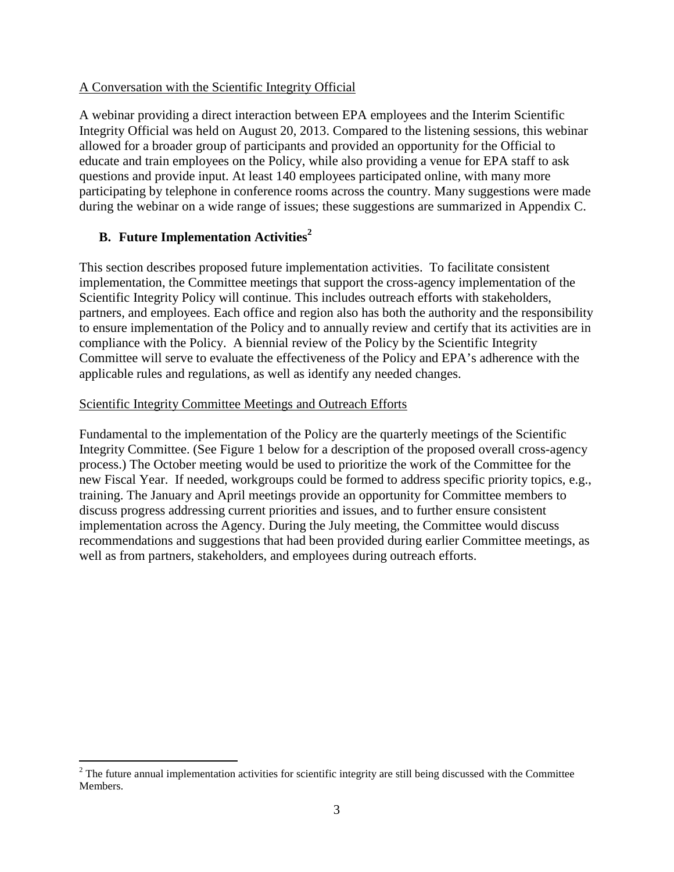#### A Conversation with the Scientific Integrity Official

 A webinar providing a direct interaction between EPA employees and the Interim Scientific Integrity Official was held on August 20, 2013. Compared to the listening sessions, this webinar allowed for a broader group of participants and provided an opportunity for the Official to educate and train employees on the Policy, while also providing a venue for EPA staff to ask questions and provide input. At least 140 employees participated online, with many more participating by telephone in conference rooms across the country. Many suggestions were made during the webinar on a wide range of issues; these suggestions are summarized in Appendix C.

# **B. Future Implementation Activities<sup>2</sup>**

<u>.</u>

 This section describes proposed future implementation activities. To facilitate consistent implementation, the Committee meetings that support the cross-agency implementation of the Scientific Integrity Policy will continue. This includes outreach efforts with stakeholders, partners, and employees. Each office and region also has both the authority and the responsibility to ensure implementation of the Policy and to annually review and certify that its activities are in compliance with the Policy. A biennial review of the Policy by the Scientific Integrity Committee will serve to evaluate the effectiveness of the Policy and EPA's adherence with the applicable rules and regulations, as well as identify any needed changes.

#### Scientific Integrity Committee Meetings and Outreach Efforts

 Fundamental to the implementation of the Policy are the quarterly meetings of the Scientific Integrity Committee. (See Figure 1 below for a description of the proposed overall cross-agency process.) The October meeting would be used to prioritize the work of the Committee for the new Fiscal Year. If needed, workgroups could be formed to address specific priority topics, e.g., training. The January and April meetings provide an opportunity for Committee members to discuss progress addressing current priorities and issues, and to further ensure consistent implementation across the Agency. During the July meeting, the Committee would discuss recommendations and suggestions that had been provided during earlier Committee meetings, as well as from partners, stakeholders, and employees during outreach efforts.

 $2<sup>2</sup>$  The future annual implementation activities for scientific integrity are still being discussed with the Committee Members.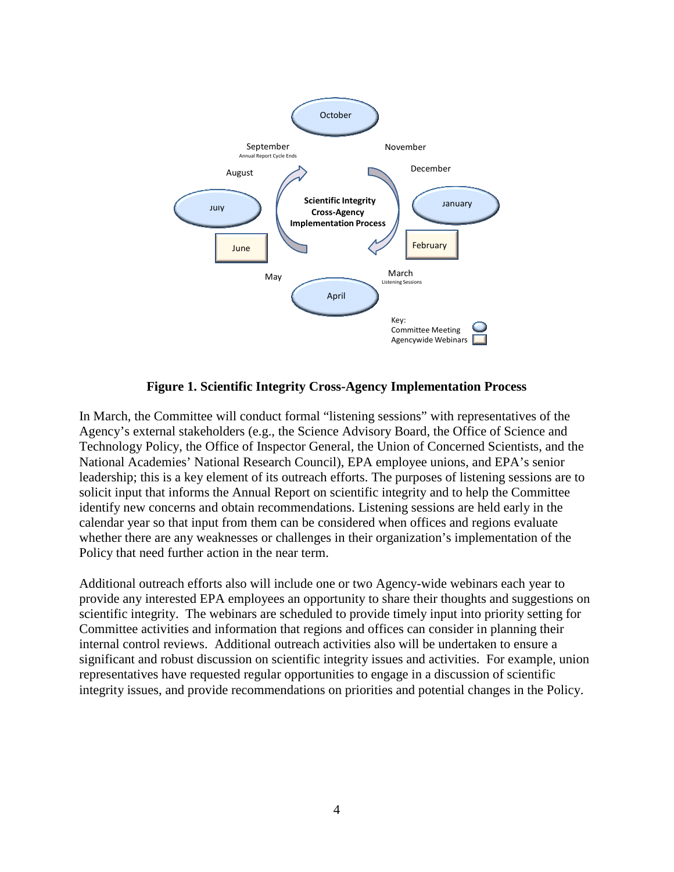

 **Figure 1. Scientific Integrity Cross-Agency Implementation Process** 

 In March, the Committee will conduct formal "listening sessions" with representatives of the Agency's external stakeholders (e.g., the Science Advisory Board, the Office of Science and Technology Policy, the Office of Inspector General, the Union of Concerned Scientists, and the National Academies' National Research Council), EPA employee unions, and EPA's senior leadership; this is a key element of its outreach efforts. The purposes of listening sessions are to solicit input that informs the Annual Report on scientific integrity and to help the Committee identify new concerns and obtain recommendations. Listening sessions are held early in the calendar year so that input from them can be considered when offices and regions evaluate whether there are any weaknesses or challenges in their organization's implementation of the Policy that need further action in the near term.

 Additional outreach efforts also will include one or two Agency-wide webinars each year to provide any interested EPA employees an opportunity to share their thoughts and suggestions on scientific integrity. The webinars are scheduled to provide timely input into priority setting for Committee activities and information that regions and offices can consider in planning their significant and robust discussion on scientific integrity issues and activities. For example, union representatives have requested regular opportunities to engage in a discussion of scientific integrity issues, and provide recommendations on priorities and potential changes in the Policy. internal control reviews. Additional outreach activities also will be undertaken to ensure a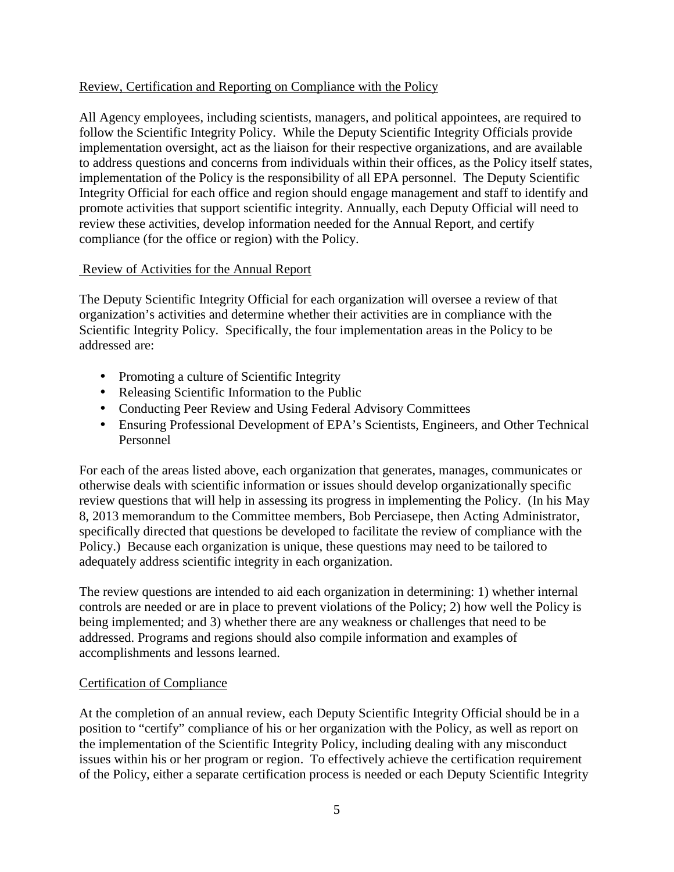# Review, Certification and Reporting on Compliance with the Policy

 All Agency employees, including scientists, managers, and political appointees, are required to follow the Scientific Integrity Policy. While the Deputy Scientific Integrity Officials provide implementation oversight, act as the liaison for their respective organizations, and are available to address questions and concerns from individuals within their offices, as the Policy itself states, implementation of the Policy is the responsibility of all EPA personnel. The Deputy Scientific Integrity Official for each office and region should engage management and staff to identify and promote activities that support scientific integrity. Annually, each Deputy Official will need to review these activities, develop information needed for the Annual Report, and certify compliance (for the office or region) with the Policy.

## Review of Activities for the Annual Report

 The Deputy Scientific Integrity Official for each organization will oversee a review of that organization's activities and determine whether their activities are in compliance with the Scientific Integrity Policy. Specifically, the four implementation areas in the Policy to be addressed are:

- Promoting a culture of Scientific Integrity
- Releasing Scientific Information to the Public
- Conducting Peer Review and Using Federal Advisory Committees
- Ensuring Professional Development of EPA's Scientists, Engineers, and Other Technical Personnel

 For each of the areas listed above, each organization that generates, manages, communicates or otherwise deals with scientific information or issues should develop organizationally specific review questions that will help in assessing its progress in implementing the Policy. (In his May 8, 2013 memorandum to the Committee members, Bob Perciasepe, then Acting Administrator, specifically directed that questions be developed to facilitate the review of compliance with the Policy.) Because each organization is unique, these questions may need to be tailored to adequately address scientific integrity in each organization.

 The review questions are intended to aid each organization in determining: 1) whether internal controls are needed or are in place to prevent violations of the Policy; 2) how well the Policy is being implemented; and 3) whether there are any weakness or challenges that need to be addressed. Programs and regions should also compile information and examples of accomplishments and lessons learned.

# Certification of Compliance

 At the completion of an annual review, each Deputy Scientific Integrity Official should be in a position to "certify" compliance of his or her organization with the Policy, as well as report on the implementation of the Scientific Integrity Policy, including dealing with any misconduct issues within his or her program or region. To effectively achieve the certification requirement of the Policy, either a separate certification process is needed or each Deputy Scientific Integrity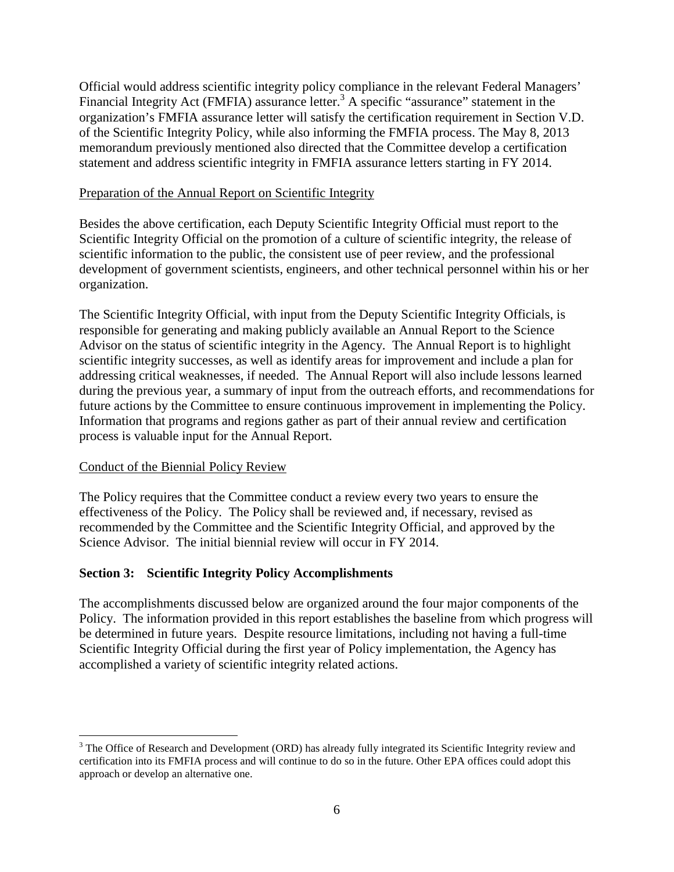Official would address scientific integrity policy compliance in the relevant Federal Managers' Financial Integrity Act (FMFIA) assurance letter.<sup>3</sup> A specific "assurance" statement in the organization's FMFIA assurance letter will satisfy the certification requirement in Section V.D. of the Scientific Integrity Policy, while also informing the FMFIA process. The May 8, 2013 memorandum previously mentioned also directed that the Committee develop a certification statement and address scientific integrity in FMFIA assurance letters starting in FY 2014.

#### Preparation of the Annual Report on Scientific Integrity

 Besides the above certification, each Deputy Scientific Integrity Official must report to the Scientific Integrity Official on the promotion of a culture of scientific integrity, the release of scientific information to the public, the consistent use of peer review, and the professional development of government scientists, engineers, and other technical personnel within his or her organization.

organization.<br>The Scientific Integrity Official, with input from the Deputy Scientific Integrity Officials, is responsible for generating and making publicly available an Annual Report to the Science Advisor on the status of scientific integrity in the Agency. The Annual Report is to highlight scientific integrity successes, as well as identify areas for improvement and include a plan for addressing critical weaknesses, if needed. The Annual Report will also include lessons learned during the previous year, a summary of input from the outreach efforts, and recommendations for future actions by the Committee to ensure continuous improvement in implementing the Policy. Information that programs and regions gather as part of their annual review and certification process is valuable input for the Annual Report.

#### Conduct of the Biennial Policy Review

 $\overline{a}$ 

 The Policy requires that the Committee conduct a review every two years to ensure the effectiveness of the Policy. The Policy shall be reviewed and, if necessary, revised as recommended by the Committee and the Scientific Integrity Official, and approved by the Science Advisor. The initial biennial review will occur in FY 2014.

#### **Section 3: Scientific Integrity Policy Accomplishments**

 The accomplishments discussed below are organized around the four major components of the Policy. The information provided in this report establishes the baseline from which progress will be determined in future years. Despite resource limitations, including not having a full-time Scientific Integrity Official during the first year of Policy implementation, the Agency has accomplished a variety of scientific integrity related actions.

 $3$  The Office of Research and Development (ORD) has already fully integrated its Scientific Integrity review and certification into its FMFIA process and will continue to do so in the future. Other EPA offices could adopt this approach or develop an alternative one.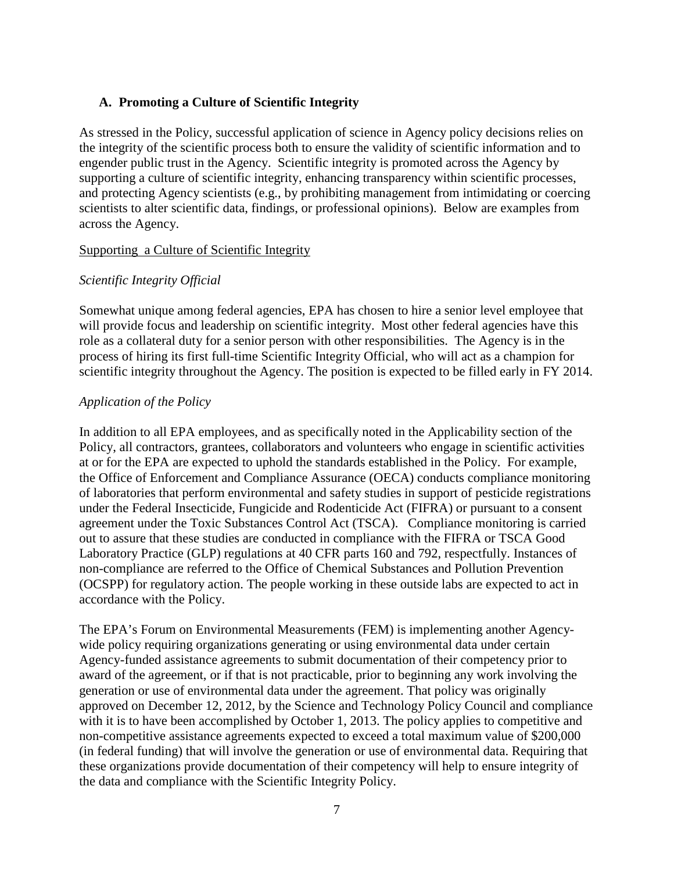#### **A. Promoting a Culture of Scientific Integrity**

 As stressed in the Policy, successful application of science in Agency policy decisions relies on the integrity of the scientific process both to ensure the validity of scientific information and to engender public trust in the Agency. Scientific integrity is promoted across the Agency by supporting a culture of scientific integrity, enhancing transparency within scientific processes, and protecting Agency scientists (e.g., by prohibiting management from intimidating or coercing scientists to alter scientific data, findings, or professional opinions). Below are examples from across the Agency.

#### Supporting a Culture of Scientific Integrity

#### *Scientific Integrity Official*

 Somewhat unique among federal agencies, EPA has chosen to hire a senior level employee that will provide focus and leadership on scientific integrity. Most other federal agencies have this role as a collateral duty for a senior person with other responsibilities. The Agency is in the process of hiring its first full-time Scientific Integrity Official, who will act as a champion for scientific integrity throughout the Agency. The position is expected to be filled early in FY 2014.

#### *Application of the Policy*

 In addition to all EPA employees, and as specifically noted in the Applicability section of the Policy, all contractors, grantees, collaborators and volunteers who engage in scientific activities at or for the EPA are expected to uphold the standards established in the Policy. For example, the Office of Enforcement and Compliance Assurance (OECA) conducts compliance monitoring of laboratories that perform environmental and safety studies in support of pesticide registrations under the Federal Insecticide, Fungicide and Rodenticide Act (FIFRA) or pursuant to a consent agreement under the Toxic Substances Control Act (TSCA). Compliance monitoring is carried out to assure that these studies are conducted in compliance with the FIFRA or TSCA Good Laboratory Practice (GLP) regulations at 40 CFR parts 160 and 792, respectfully. Instances of non-compliance are referred to the Office of Chemical Substances and Pollution Prevention (OCSPP) for regulatory action. The people working in these outside labs are expected to act in accordance with the Policy.

 The EPA's Forum on Environmental Measurements (FEM) is implementing another Agency- wide policy requiring organizations generating or using environmental data under certain Agency-funded assistance agreements to submit documentation of their competency prior to award of the agreement, or if that is not practicable, prior to beginning any work involving the generation or use of environmental data under the agreement. That policy was originally approved on December 12, 2012, by the Science and Technology Policy Council and compliance with it is to have been accomplished by October 1, 2013. The policy applies to competitive and non-competitive assistance agreements expected to exceed a total maximum value of \$200,000 (in federal funding) that will involve the generation or use of environmental data. Requiring that these organizations provide documentation of their competency will help to ensure integrity of the data and compliance with the Scientific Integrity Policy.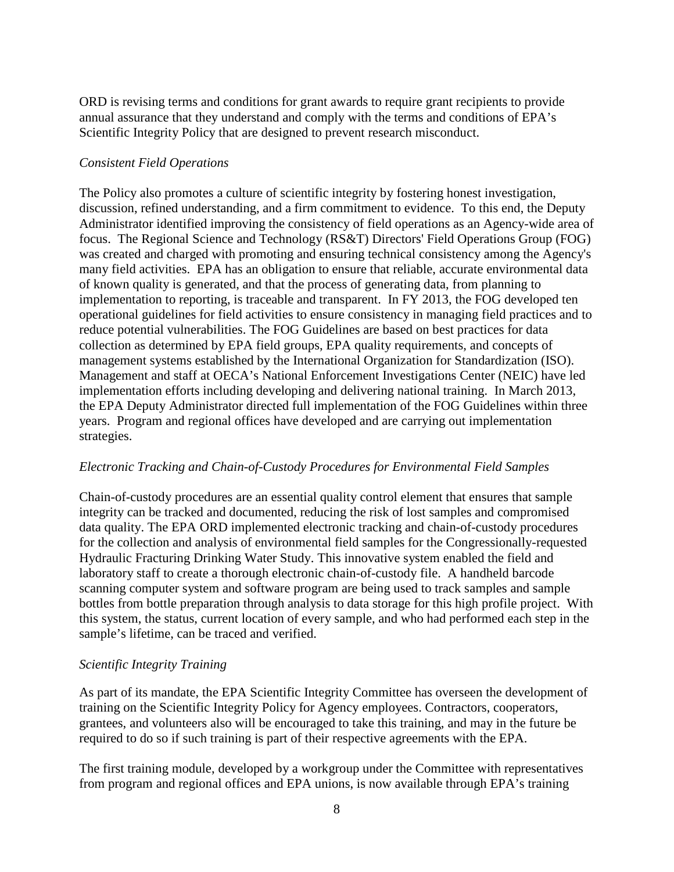ORD is revising terms and conditions for grant awards to require grant recipients to provide annual assurance that they understand and comply with the terms and conditions of EPA's Scientific Integrity Policy that are designed to prevent research misconduct.

# *Consistent Field Operations*

 The Policy also promotes a culture of scientific integrity by fostering honest investigation, discussion, refined understanding, and a firm commitment to evidence. To this end, the Deputy Administrator identified improving the consistency of field operations as an Agency-wide area of focus. The Regional Science and Technology (RS&T) Directors' Field Operations Group (FOG) was created and charged with promoting and ensuring technical consistency among the Agency's many field activities. EPA has an obligation to ensure that reliable, accurate environmental data of known quality is generated, and that the process of generating data, from planning to implementation to reporting, is traceable and transparent. In FY 2013, the FOG developed ten operational guidelines for field activities to ensure consistency in managing field practices and to reduce potential vulnerabilities. The FOG Guidelines are based on best practices for data collection as determined by EPA field groups, EPA quality requirements, and concepts of management systems established by the International Organization for Standardization (ISO). Management and staff at OECA's National Enforcement Investigations Center (NEIC) have led implementation efforts including developing and delivering national training. In March 2013, the EPA Deputy Administrator directed full implementation of the FOG Guidelines within three years. Program and regional offices have developed and are carrying out implementation strategies.

# *Electronic Tracking and Chain-of-Custody Procedures for Environmental Field Samples*

 Chain-of-custody procedures are an essential quality control element that ensures that sample integrity can be tracked and documented, reducing the risk of lost samples and compromised data quality. The EPA ORD implemented electronic tracking and chain-of-custody procedures for the collection and analysis of environmental field samples for the Congressionally-requested Hydraulic Fracturing Drinking Water Study. This innovative system enabled the field and laboratory staff to create a thorough electronic chain-of-custody file. A handheld barcode scanning computer system and software program are being used to track samples and sample bottles from bottle preparation through analysis to data storage for this high profile project. With this system, the status, current location of every sample, and who had performed each step in the sample's lifetime, can be traced and verified.

#### *Scientific Integrity Training*

 As part of its mandate, the EPA Scientific Integrity Committee has overseen the development of training on the Scientific Integrity Policy for Agency employees. Contractors, cooperators, grantees, and volunteers also will be encouraged to take this training, and may in the future be required to do so if such training is part of their respective agreements with the EPA.

 The first training module, developed by a workgroup under the Committee with representatives from program and regional offices and EPA unions, is now available through EPA's training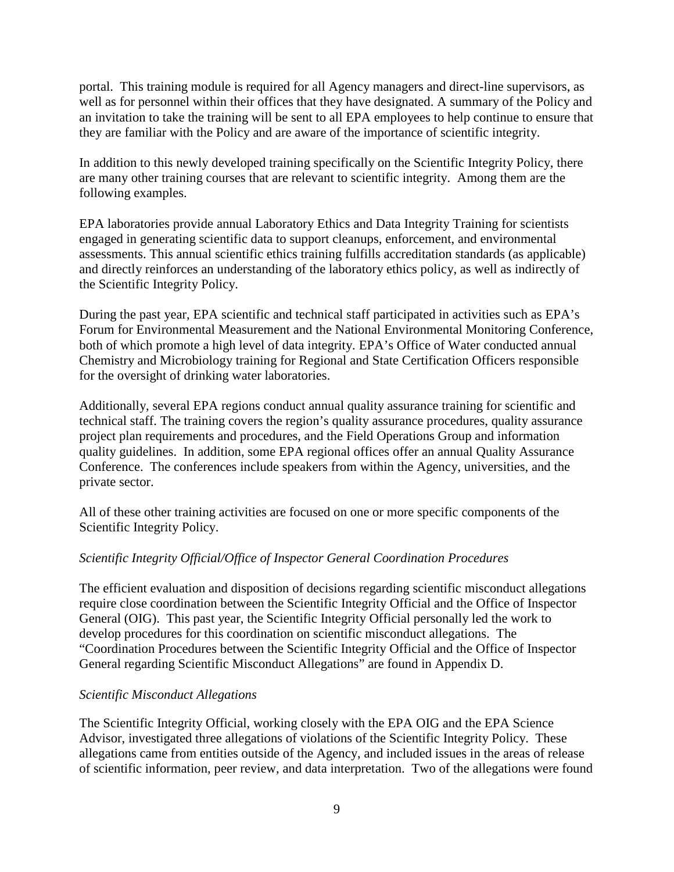portal. This training module is required for all Agency managers and direct-line supervisors, as well as for personnel within their offices that they have designated. A summary of the Policy and an invitation to take the training will be sent to all EPA employees to help continue to ensure that they are familiar with the Policy and are aware of the importance of scientific integrity.

 In addition to this newly developed training specifically on the Scientific Integrity Policy, there are many other training courses that are relevant to scientific integrity. Among them are the following examples.

 EPA laboratories provide annual Laboratory Ethics and Data Integrity Training for scientists engaged in generating scientific data to support cleanups, enforcement, and environmental assessments. This annual scientific ethics training fulfills accreditation standards (as applicable) and directly reinforces an understanding of the laboratory ethics policy, as well as indirectly of the Scientific Integrity Policy.

 During the past year, EPA scientific and technical staff participated in activities such as EPA's Forum for Environmental Measurement and the National Environmental Monitoring Conference, both of which promote a high level of data integrity. EPA's Office of Water conducted annual Chemistry and Microbiology training for Regional and State Certification Officers responsible for the oversight of drinking water laboratories.

 Additionally, several EPA regions conduct annual quality assurance training for scientific and technical staff. The training covers the region's quality assurance procedures, quality assurance project plan requirements and procedures, and the Field Operations Group and information quality guidelines. In addition, some EPA regional offices offer an annual Quality Assurance Conference. The conferences include speakers from within the Agency, universities, and the private sector.

 All of these other training activities are focused on one or more specific components of the Scientific Integrity Policy.

## *Scientific Integrity Official/Office of Inspector General Coordination Procedures*

 The efficient evaluation and disposition of decisions regarding scientific misconduct allegations require close coordination between the Scientific Integrity Official and the Office of Inspector General (OIG). This past year, the Scientific Integrity Official personally led the work to develop procedures for this coordination on scientific misconduct allegations. The "Coordination Procedures between the Scientific Integrity Official and the Office of Inspector General regarding Scientific Misconduct Allegations" are found in Appendix D.

#### *Scientific Misconduct Allegations*

 The Scientific Integrity Official, working closely with the EPA OIG and the EPA Science Advisor, investigated three allegations of violations of the Scientific Integrity Policy. These allegations came from entities outside of the Agency, and included issues in the areas of release of scientific information, peer review, and data interpretation. Two of the allegations were found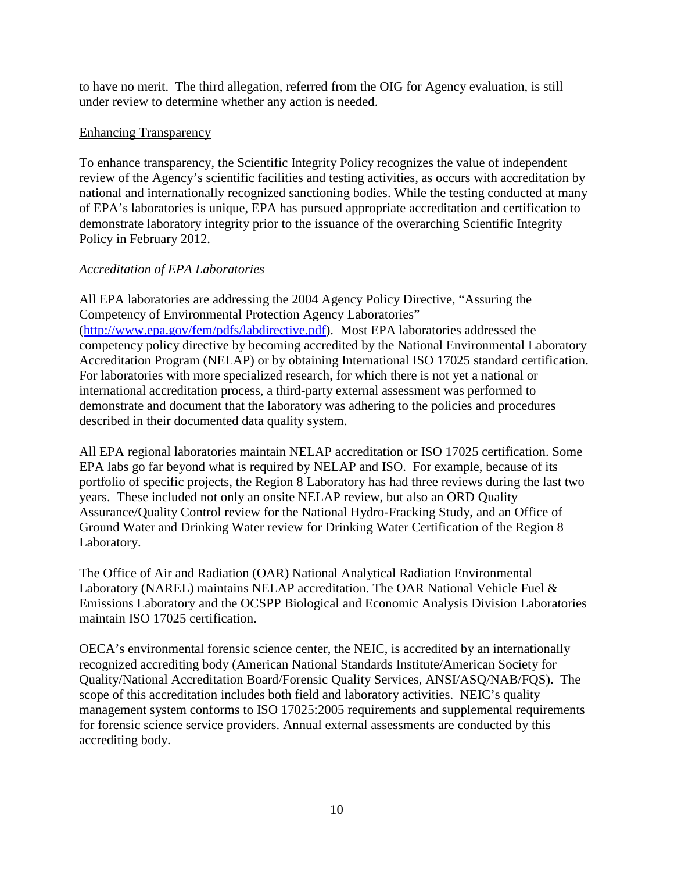to have no merit. The third allegation, referred from the OIG for Agency evaluation, is still under review to determine whether any action is needed.

#### Enhancing Transparency

 To enhance transparency, the Scientific Integrity Policy recognizes the value of independent review of the Agency's scientific facilities and testing activities, as occurs with accreditation by national and internationally recognized sanctioning bodies. While the testing conducted at many of EPA's laboratories is unique, EPA has pursued appropriate accreditation and certification to demonstrate laboratory integrity prior to the issuance of the overarching Scientific Integrity Policy in February 2012.

#### *Accreditation of EPA Laboratories*

 All EPA laboratories are addressing the 2004 Agency Policy Directive, "Assuring the Competency of Environmental Protection Agency Laboratories" (http://www.epa.gov/fem/pdfs/labdirective.pdf). Most EPA laboratories addressed the competency policy directive by becoming accredited by the National Environmental Laboratory Accreditation Program (NELAP) or by obtaining International ISO 17025 standard certification. For laboratories with more specialized research, for which there is not yet a national or international accreditation process, a third-party external assessment was performed to demonstrate and document that the laboratory was adhering to the policies and procedures described in their documented data quality system.

 All EPA regional laboratories maintain NELAP accreditation or ISO 17025 certification. Some EPA labs go far beyond what is required by NELAP and ISO. For example, because of its portfolio of specific projects, the Region 8 Laboratory has had three reviews during the last two years. These included not only an onsite NELAP review, but also an ORD Quality Assurance/Quality Control review for the National Hydro-Fracking Study, and an Office of Ground Water and Drinking Water review for Drinking Water Certification of the Region 8 Laboratory.

Laboratory.<br>The Office of Air and Radiation (OAR) National Analytical Radiation Environmental Laboratory (NAREL) maintains NELAP accreditation. The OAR National Vehicle Fuel & Emissions Laboratory and the OCSPP Biological and Economic Analysis Division Laboratories maintain ISO 17025 certification.

 OECA's environmental forensic science center, the NEIC, is accredited by an internationally recognized accrediting body (American National Standards Institute/American Society for Quality/National Accreditation Board/Forensic Quality Services, ANSI/ASQ/NAB/FQS). The scope of this accreditation includes both field and laboratory activities. NEIC's quality management system conforms to ISO 17025:2005 requirements and supplemental requirements for forensic science service providers. Annual external assessments are conducted by this accrediting body.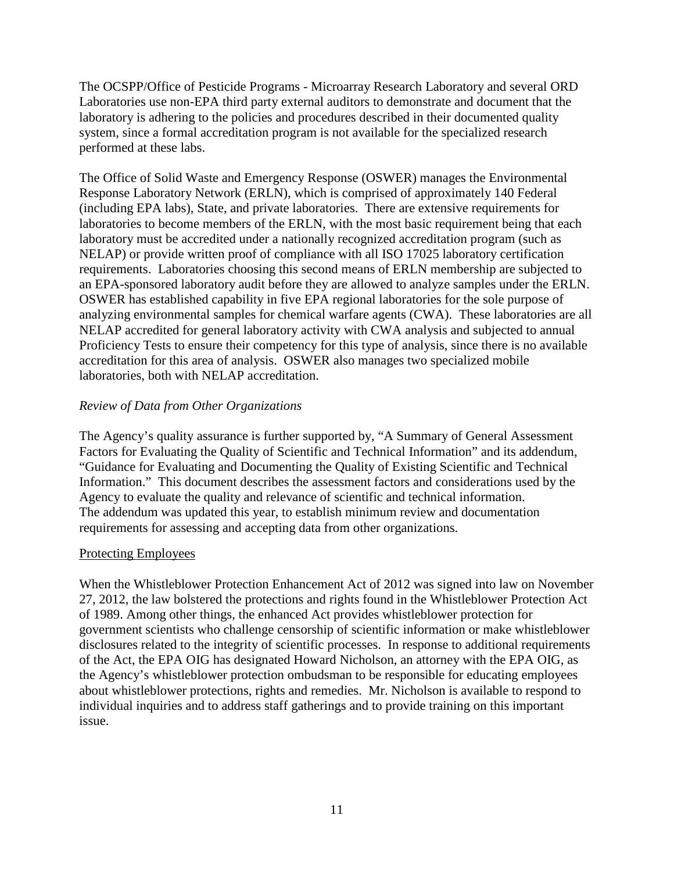The OCSPP/Office of Pesticide Programs - Microarray Research Laboratory and several ORD Laboratories use non-EPA third party external auditors to demonstrate and document that the laboratory is adhering to the policies and procedures described in their documented quality system, since a formal accreditation program is not available for the specialized research performed at these labs.

 The Office of Solid Waste and Emergency Response (OSWER) manages the Environmental Response Laboratory Network (ERLN), which is comprised of approximately 140 Federal (including EPA labs), State, and private laboratories. There are extensive requirements for laboratories to become members of the ERLN, with the most basic requirement being that each laboratory must be accredited under a nationally recognized accreditation program (such as NELAP) or provide written proof of compliance with all ISO 17025 laboratory certification requirements. Laboratories choosing this second means of ERLN membership are subjected to an EPA-sponsored laboratory audit before they are allowed to analyze samples under the ERLN. OSWER has established capability in five EPA regional laboratories for the sole purpose of analyzing environmental samples for chemical warfare agents (CWA). These laboratories are all NELAP accredited for general laboratory activity with CWA analysis and subjected to annual Proficiency Tests to ensure their competency for this type of analysis, since there is no available accreditation for this area of analysis. OSWER also manages two specialized mobile laboratories, both with NELAP accreditation.

#### *Review of Data from Other Organizations*

 The Agency's quality assurance is further supported by, "A Summary of General Assessment Factors for Evaluating the Quality of Scientific and Technical Information" and its addendum, "Guidance for Evaluating and Documenting the Quality of Existing Scientific and Technical Information." This document describes the assessment factors and considerations used by the Agency to evaluate the quality and relevance of scientific and technical information. The addendum was updated this year, to establish minimum review and documentation requirements for assessing and accepting data from other organizations.

#### Protecting Employees

 When the Whistleblower Protection Enhancement Act of 2012 was signed into law on November 27, 2012, the law bolstered the protections and rights found in the Whistleblower Protection Act of 1989. Among other things, the enhanced Act provides whistleblower protection for government scientists who challenge censorship of scientific information or make whistleblower disclosures related to the integrity of scientific processes. In response to additional requirements of the Act, the EPA OIG has designated Howard Nicholson, an attorney with the EPA OIG, as the Agency's whistleblower protection ombudsman to be responsible for educating employees about whistleblower protections, rights and remedies. Mr. Nicholson is available to respond to individual inquiries and to address staff gatherings and to provide training on this important issue.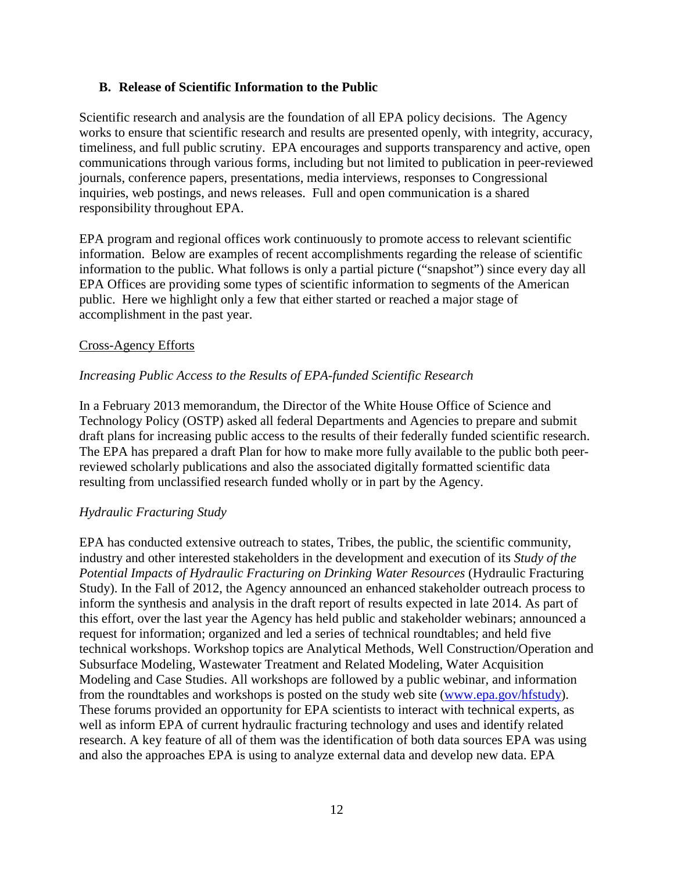#### **B. Release of Scientific Information to the Public**

 Scientific research and analysis are the foundation of all EPA policy decisions. The Agency works to ensure that scientific research and results are presented openly, with integrity, accuracy, timeliness, and full public scrutiny. EPA encourages and supports transparency and active, open communications through various forms, including but not limited to publication in peer-reviewed journals, conference papers, presentations, media interviews, responses to Congressional inquiries, web postings, and news releases. Full and open communication is a shared responsibility throughout EPA.

 EPA program and regional offices work continuously to promote access to relevant scientific information. Below are examples of recent accomplishments regarding the release of scientific information to the public. What follows is only a partial picture ("snapshot") since every day all EPA Offices are providing some types of scientific information to segments of the American public. Here we highlight only a few that either started or reached a major stage of accomplishment in the past year.

#### Cross-Agency Efforts

#### *Increasing Public Access to the Results of EPA-funded Scientific Research*

 In a February 2013 memorandum, the Director of the White House Office of Science and Technology Policy (OSTP) asked all federal Departments and Agencies to prepare and submit draft plans for increasing public access to the results of their federally funded scientific research. The EPA has prepared a draft Plan for how to make more fully available to the public both peer- reviewed scholarly publications and also the associated digitally formatted scientific data resulting from unclassified research funded wholly or in part by the Agency.

#### *Hydraulic Fracturing Study*

 EPA has conducted extensive outreach to states, Tribes, the public, the scientific community, industry and other interested stakeholders in the development and execution of its *Study of the*  Potential Impacts of Hydraulic Fracturing on Drinking Water Resources (Hydraulic Fracturing Study). In the Fall of 2012, the Agency announced an enhanced stakeholder outreach process to inform the synthesis and analysis in the draft report of results expected in late 2014. As part of this effort, over the last year the Agency has held public and stakeholder webinars; announced a request for information; organized and led a series of technical roundtables; and held five technical workshops. Workshop topics are Analytical Methods, Well Construction/Operation and Subsurface Modeling, Wastewater Treatment and Related Modeling, Water Acquisition Modeling and Case Studies. All workshops are followed by a public webinar, and information from the roundtables and workshops is posted on the study web site (www.epa.gov/hfstudy). These forums provided an opportunity for EPA scientists to interact with technical experts, as well as inform EPA of current hydraulic fracturing technology and uses and identify related research. A key feature of all of them was the identification of both data sources EPA was using and also the approaches EPA is using to analyze external data and develop new data. EPA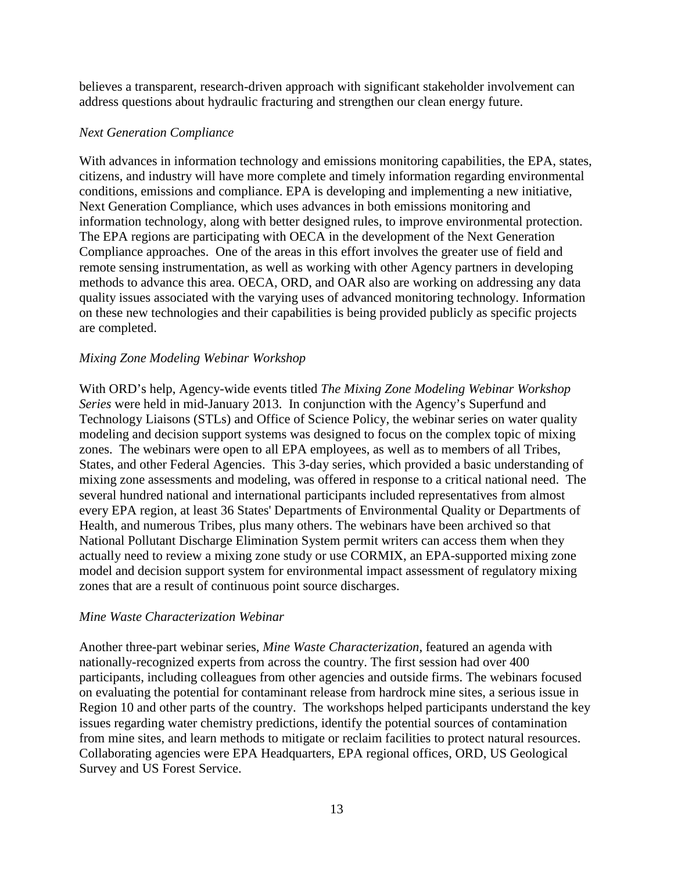believes a transparent, research-driven approach with significant stakeholder involvement can address questions about hydraulic fracturing and strengthen our clean energy future.

#### *Next Generation Compliance*

 With advances in information technology and emissions monitoring capabilities, the EPA, states, citizens, and industry will have more complete and timely information regarding environmental conditions, emissions and compliance. EPA is developing and implementing a new initiative, Next Generation Compliance, which uses advances in both emissions monitoring and information technology, along with better designed rules, to improve environmental protection. The EPA regions are participating with OECA in the development of the Next Generation Compliance approaches. One of the areas in this effort involves the greater use of field and remote sensing instrumentation, as well as working with other Agency partners in developing methods to advance this area. OECA, ORD, and OAR also are working on addressing any data quality issues associated with the varying uses of advanced monitoring technology. Information on these new technologies and their capabilities is being provided publicly as specific projects are completed.

# *Mixing Zone Modeling Webinar Workshop*

 With ORD's help, Agency-wide events titled *The Mixing Zone Modeling Webinar Workshop Series* were held in mid-January 2013. In conjunction with the Agency's Superfund and Technology Liaisons (STLs) and Office of Science Policy, the webinar series on water quality modeling and decision support systems was designed to focus on the complex topic of mixing zones. The webinars were open to all EPA employees, as well as to members of all Tribes, States, and other Federal Agencies. This 3-day series, which provided a basic understanding of mixing zone assessments and modeling, was offered in response to a critical national need. The several hundred national and international participants included representatives from almost every EPA region, at least 36 States' Departments of Environmental Quality or Departments of Health, and numerous Tribes, plus many others. The webinars have been archived so that National Pollutant Discharge Elimination System permit writers can access them when they actually need to review a mixing zone study or use CORMIX, an EPA-supported mixing zone model and decision support system for environmental impact assessment of regulatory mixing zones that are a result of continuous point source discharges.

#### *Mine Waste Characterization Webinar*

 Another three-part webinar series, *Mine Waste Characterization*, featured an agenda with nationally-recognized experts from across the country. The first session had over 400 participants, including colleagues from other agencies and outside firms. The webinars focused on evaluating the potential for contaminant release from hardrock mine sites, a serious issue in Region 10 and other parts of the country. The workshops helped participants understand the key issues regarding water chemistry predictions, identify the potential sources of contamination from mine sites, and learn methods to mitigate or reclaim facilities to protect natural resources. Collaborating agencies were EPA Headquarters, EPA regional offices, ORD, US Geological Survey and US Forest Service.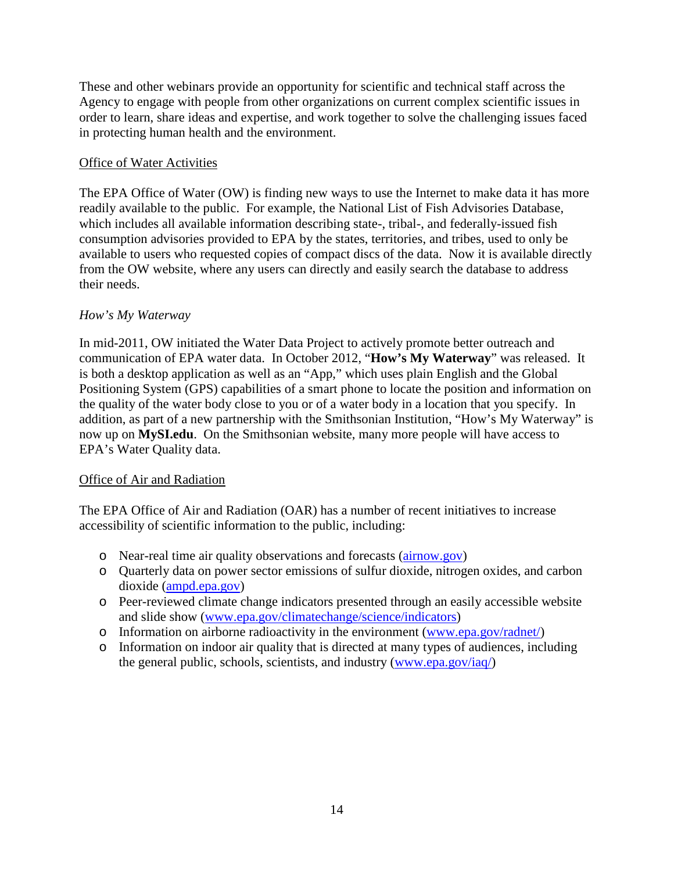These and other webinars provide an opportunity for scientific and technical staff across the Agency to engage with people from other organizations on current complex scientific issues in order to learn, share ideas and expertise, and work together to solve the challenging issues faced in protecting human health and the environment.

# **Office of Water Activities**

 The EPA Office of Water (OW) is finding new ways to use the Internet to make data it has more readily available to the public. For example, the National List of Fish Advisories Database, which includes all available information describing state-, tribal-, and federally-issued fish consumption advisories provided to EPA by the states, territories, and tribes, used to only be available to users who requested copies of compact discs of the data. Now it is available directly from the OW website, where any users can directly and easily search the database to address their needs.

#### *How's My Waterway*

 In mid-2011, OW initiated the Water Data Project to actively promote better outreach and communication of EPA water data. In October 2012, "**How's My Waterway**" was released. It is both a desktop application as well as an "App," which uses plain English and the Global Positioning System (GPS) capabilities of a smart phone to locate the position and information on the quality of the water body close to you or of a water body in a location that you specify. In addition, as part of a new partnership with the Smithsonian Institution, "How's My Waterway" is now up on **MySI.edu**. On the Smithsonian website, many more people will have access to EPA's Water Quality data.

### **Office of Air and Radiation**

 The EPA Office of Air and Radiation (OAR) has a number of recent initiatives to increase accessibility of scientific information to the public, including:

- o Near-real time air quality observations and forecasts (*airnow.gov*)
- o Quarterly data on power sector emissions of sulfur dioxide, nitrogen oxides, and carbon dioxide (ampd.epa.gov)
- o Peer-reviewed climate change indicators presented through an easily accessible website and slide show (www.epa.gov/climatechange/science/indicators)
- o Information on airborne radioactivity in the environment (www.epa.gov/radnet/)
- o Information on indoor air quality that is directed at many types of audiences, including the general public, schools, scientists, and industry (www.epa.gov/iaq/)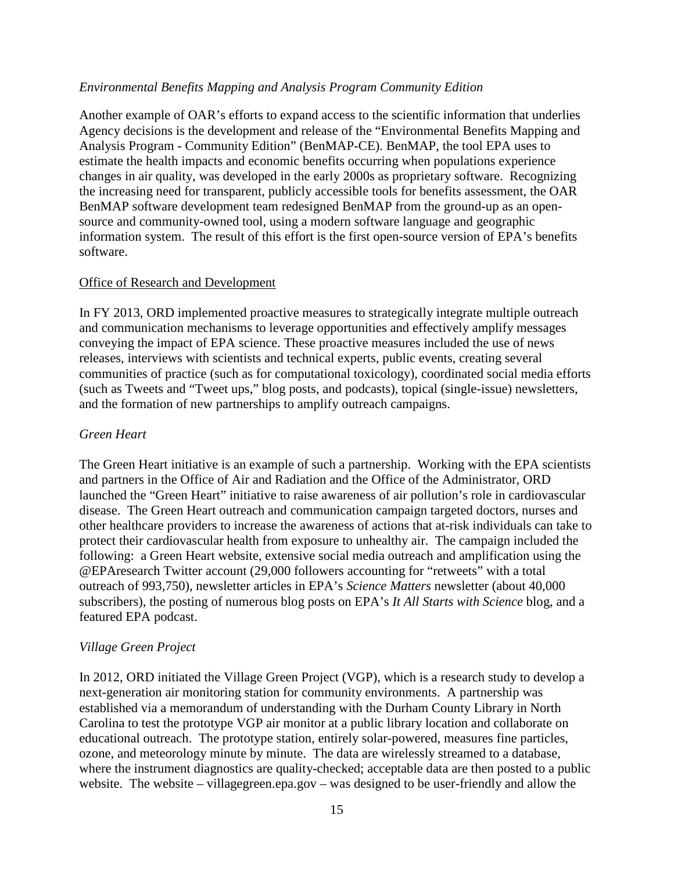#### *Environmental Benefits Mapping and Analysis Program Community Edition*

 Another example of OAR's efforts to expand access to the scientific information that underlies Agency decisions is the development and release of the "Environmental Benefits Mapping and Analysis Program - Community Edition" (BenMAP-CE). BenMAP, the tool EPA uses to estimate the health impacts and economic benefits occurring when populations experience changes in air quality, was developed in the early 2000s as proprietary software. Recognizing the increasing need for transparent, publicly accessible tools for benefits assessment, the OAR BenMAP software development team redesigned BenMAP from the ground-up as an open- source and community-owned tool, using a modern software language and geographic information system. The result of this effort is the first open-source version of EPA's benefits software

# software.<br>Office of Research and Development

 In FY 2013, ORD implemented proactive measures to strategically integrate multiple outreach and communication mechanisms to leverage opportunities and effectively amplify messages conveying the impact of EPA science. These proactive measures included the use of news releases, interviews with scientists and technical experts, public events, creating several communities of practice (such as for computational toxicology), coordinated social media efforts (such as Tweets and "Tweet ups," blog posts, and podcasts), topical (single-issue) newsletters, and the formation of new partnerships to amplify outreach campaigns.

### *Green Heart*

 The Green Heart initiative is an example of such a partnership. Working with the EPA scientists and partners in the Office of Air and Radiation and the Office of the Administrator, ORD launched the "Green Heart" initiative to raise awareness of air pollution's role in cardiovascular disease. The Green Heart outreach and communication campaign targeted doctors, nurses and other healthcare providers to increase the awareness of actions that at-risk individuals can take to protect their cardiovascular health from exposure to unhealthy air. The campaign included the following: a Green Heart website, extensive social media outreach and amplification using the @EPAresearch Twitter account (29,000 followers accounting for "retweets" with a total outreach of 993,750), newsletter articles in EPA's *Science Matters* newsletter (about 40,000 subscribers), the posting of numerous blog posts on EPA's *It All Starts with Science* blog, and a featured EPA podcast.

#### *Village Green Project*

 In 2012, ORD initiated the Village Green Project (VGP), which is a research study to develop a next-generation air monitoring station for community environments. A partnership was established via a memorandum of understanding with the Durham County Library in North Carolina to test the prototype VGP air monitor at a public library location and collaborate on educational outreach. The prototype station, entirely solar-powered, measures fine particles, ozone, and meteorology minute by minute. The data are wirelessly streamed to a database, where the instrument diagnostics are quality-checked; acceptable data are then posted to a public website. The website – villagegreen.epa.gov – was designed to be user-friendly and allow the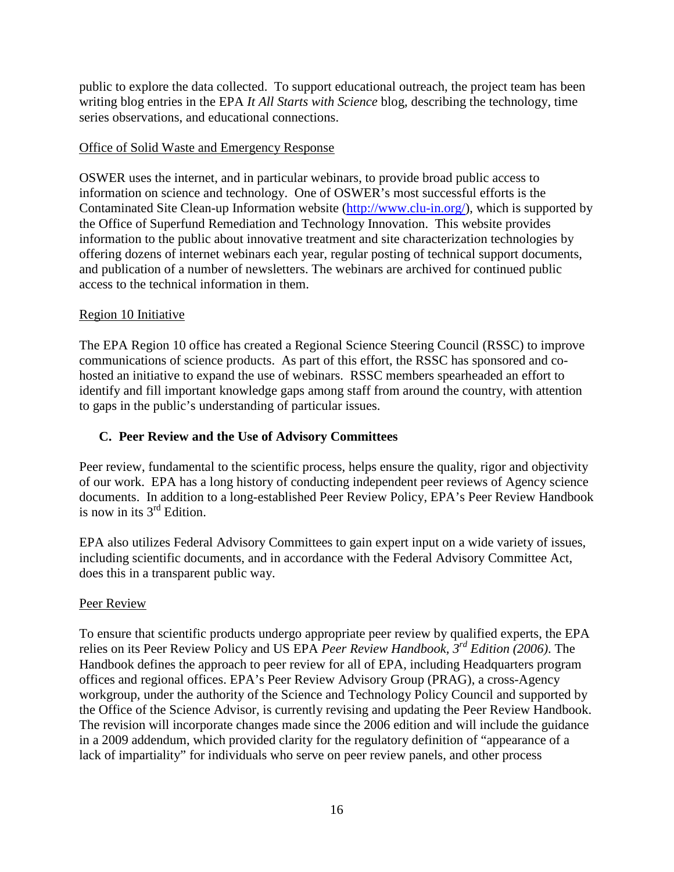public to explore the data collected. To support educational outreach, the project team has been writing blog entries in the EPA *It All Starts with Science* blog, describing the technology, time series observations, and educational connections.

## Office of Solid Waste and Emergency Response

 OSWER uses the internet, and in particular webinars, to provide broad public access to information on science and technology. One of OSWER's most successful efforts is the Contaminated Site Clean-up Information website (http://www.clu-in.org/), which is supported by the Office of Superfund Remediation and Technology Innovation. This website provides information to the public about innovative treatment and site characterization technologies by offering dozens of internet webinars each year, regular posting of technical support documents, and publication of a number of newsletters. The webinars are archived for continued public access to the technical information in them.

# Region 10 Initiative

 The EPA Region 10 office has created a Regional Science Steering Council (RSSC) to improve communications of science products. As part of this effort, the RSSC has sponsored and co- hosted an initiative to expand the use of webinars. RSSC members spearheaded an effort to identify and fill important knowledge gaps among staff from around the country, with attention to gaps in the public's understanding of particular issues.

## **C. Peer Review and the Use of Advisory Committees**

 Peer review, fundamental to the scientific process, helps ensure the quality, rigor and objectivity of our work. EPA has a long history of conducting independent peer reviews of Agency science documents. In addition to a long-established Peer Review Policy, EPA's Peer Review Handbook is now in its  $3<sup>rd</sup>$  Edition.

 EPA also utilizes Federal Advisory Committees to gain expert input on a wide variety of issues, including scientific documents, and in accordance with the Federal Advisory Committee Act, does this in a transparent public way.

#### Peer Review

 To ensure that scientific products undergo appropriate peer review by qualified experts, the EPA relies on its Peer Review Policy and US EPA *Peer Review Handbook, 3rd Edition (2006)*. The Handbook defines the approach to peer review for all of EPA, including Headquarters program offices and regional offices. EPA's Peer Review Advisory Group (PRAG), a cross-Agency workgroup, under the authority of the Science and Technology Policy Council and supported by the Office of the Science Advisor, is currently revising and updating the Peer Review Handbook. The revision will incorporate changes made since the 2006 edition and will include the guidance in a 2009 addendum, which provided clarity for the regulatory definition of "appearance of a lack of impartiality" for individuals who serve on peer review panels, and other process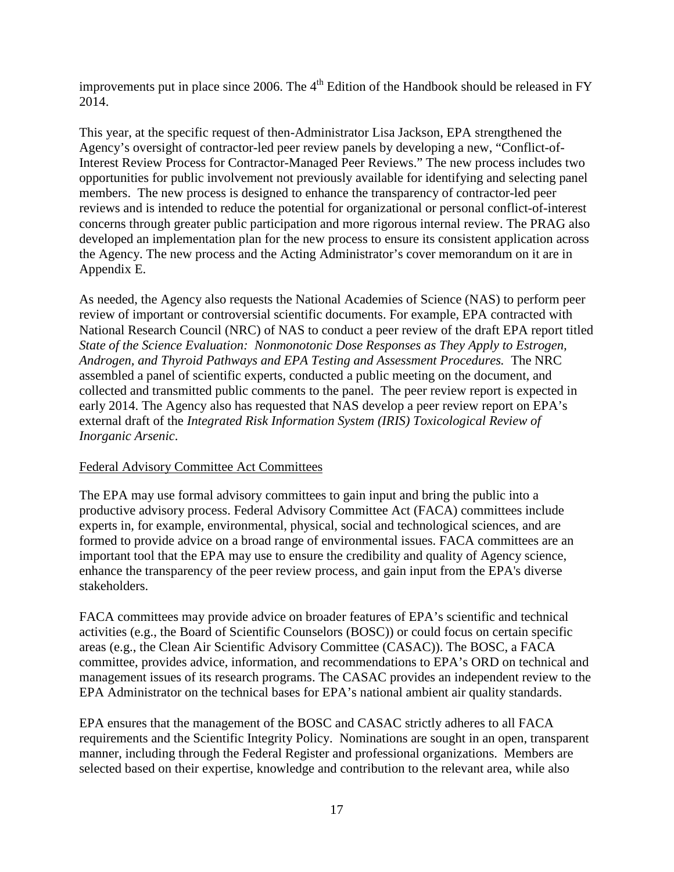improvements put in place since 2006. The  $4<sup>th</sup>$  Edition of the Handbook should be released in FY 2014.

 This year, at the specific request of then-Administrator Lisa Jackson, EPA strengthened the Agency's oversight of contractor-led peer review panels by developing a new, "Conflict-of- Interest Review Process for Contractor-Managed Peer Reviews." The new process includes two opportunities for public involvement not previously available for identifying and selecting panel members. The new process is designed to enhance the transparency of contractor-led peer reviews and is intended to reduce the potential for organizational or personal conflict-of-interest concerns through greater public participation and more rigorous internal review. The PRAG also developed an implementation plan for the new process to ensure its consistent application across the Agency. The new process and the Acting Administrator's cover memorandum on it are in Appendix E.

 As needed, the Agency also requests the National Academies of Science (NAS) to perform peer review of important or controversial scientific documents. For example, EPA contracted with National Research Council (NRC) of NAS to conduct a peer review of the draft EPA report titled  *State of the Science Evaluation: Nonmonotonic Dose Responses as They Apply to Estrogen, Androgen, and Thyroid Pathways and EPA Testing and Assessment Procedures.* The NRC assembled a panel of scientific experts, conducted a public meeting on the document, and collected and transmitted public comments to the panel. The peer review report is expected in early 2014. The Agency also has requested that NAS develop a peer review report on EPA's external draft of the *Integrated Risk Information System (IRIS) Toxicological Review of Inorganic Arsenic*.

#### Federal Advisory Committee Act Committees

 The EPA may use formal advisory committees to gain input and bring the public into a productive advisory process. Federal Advisory Committee Act (FACA) committees include experts in, for example, environmental, physical, social and technological sciences, and are formed to provide advice on a broad range of environmental issues. FACA committees are an important tool that the EPA may use to ensure the credibility and quality of Agency science, enhance the transparency of the peer review process, and gain input from the EPA's diverse stakeholders.

stakeholders.<br>FACA committees may provide advice on broader features of EPA's scientific and technical activities (e.g., the Board of Scientific Counselors (BOSC)) or could focus on certain specific areas (e.g., the Clean Air Scientific Advisory Committee (CASAC)). The BOSC, a FACA committee, provides advice, information, and recommendations to EPA's ORD on technical and management issues of its research programs. The CASAC provides an independent review to the EPA Administrator on the technical bases for EPA's national ambient air quality standards.

 EPA ensures that the management of the BOSC and CASAC strictly adheres to all FACA requirements and the Scientific Integrity Policy. Nominations are sought in an open, transparent manner, including through the Federal Register and professional organizations. Members are selected based on their expertise, knowledge and contribution to the relevant area, while also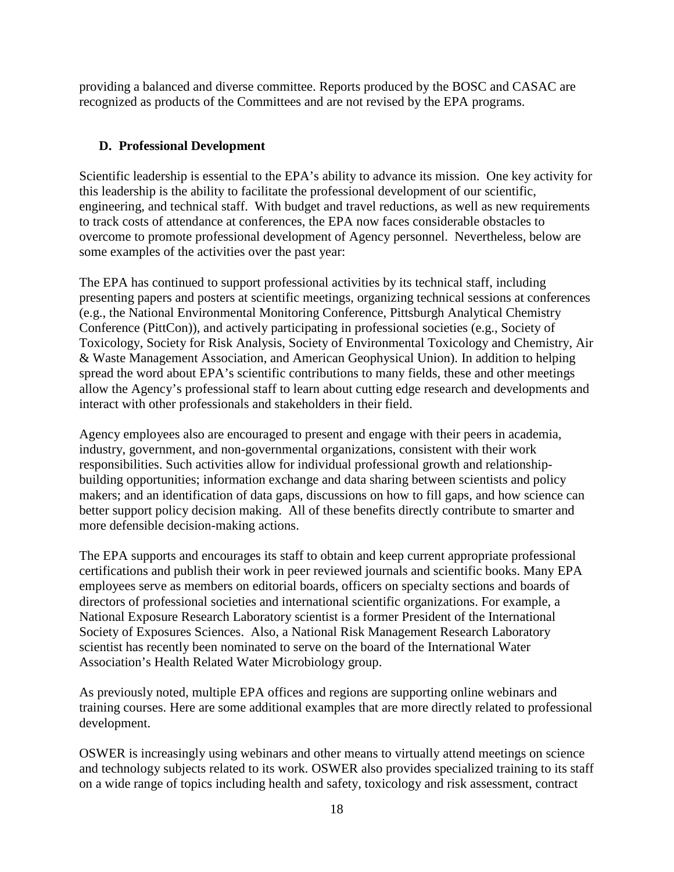providing a balanced and diverse committee. Reports produced by the BOSC and CASAC are recognized as products of the Committees and are not revised by the EPA programs.

# **D. Professional Development**

 Scientific leadership is essential to the EPA's ability to advance its mission. One key activity for this leadership is the ability to facilitate the professional development of our scientific, engineering, and technical staff. With budget and travel reductions, as well as new requirements to track costs of attendance at conferences, the EPA now faces considerable obstacles to overcome to promote professional development of Agency personnel. Nevertheless, below are some examples of the activities over the past year:

 The EPA has continued to support professional activities by its technical staff, including presenting papers and posters at scientific meetings, organizing technical sessions at conferences (e.g., the National Environmental Monitoring Conference, Pittsburgh Analytical Chemistry Conference (PittCon)), and actively participating in professional societies (e.g., Society of Toxicology, Society for Risk Analysis, Society of Environmental Toxicology and Chemistry, Air & Waste Management Association, and American Geophysical Union). In addition to helping spread the word about EPA's scientific contributions to many fields, these and other meetings allow the Agency's professional staff to learn about cutting edge research and developments and interact with other professionals and stakeholders in their field.

 Agency employees also are encouraged to present and engage with their peers in academia, industry, government, and non-governmental organizations, consistent with their work responsibilities. Such activities allow for individual professional growth and relationship- building opportunities; information exchange and data sharing between scientists and policy makers; and an identification of data gaps, discussions on how to fill gaps, and how science can better support policy decision making. All of these benefits directly contribute to smarter and more defensible decision-making actions.

 The EPA supports and encourages its staff to obtain and keep current appropriate professional certifications and publish their work in peer reviewed journals and scientific books. Many EPA employees serve as members on editorial boards, officers on specialty sections and boards of directors of professional societies and international scientific organizations. For example, a National Exposure Research Laboratory scientist is a former President of the International Society of Exposures Sciences. Also, a National Risk Management Research Laboratory scientist has recently been nominated to serve on the board of the International Water Association's Health Related Water Microbiology group.

 As previously noted, multiple EPA offices and regions are supporting online webinars and training courses. Here are some additional examples that are more directly related to professional development.

development.<br>OSWER is increasingly using webinars and other means to virtually attend meetings on science and technology subjects related to its work. OSWER also provides specialized training to its staff on a wide range of topics including health and safety, toxicology and risk assessment, contract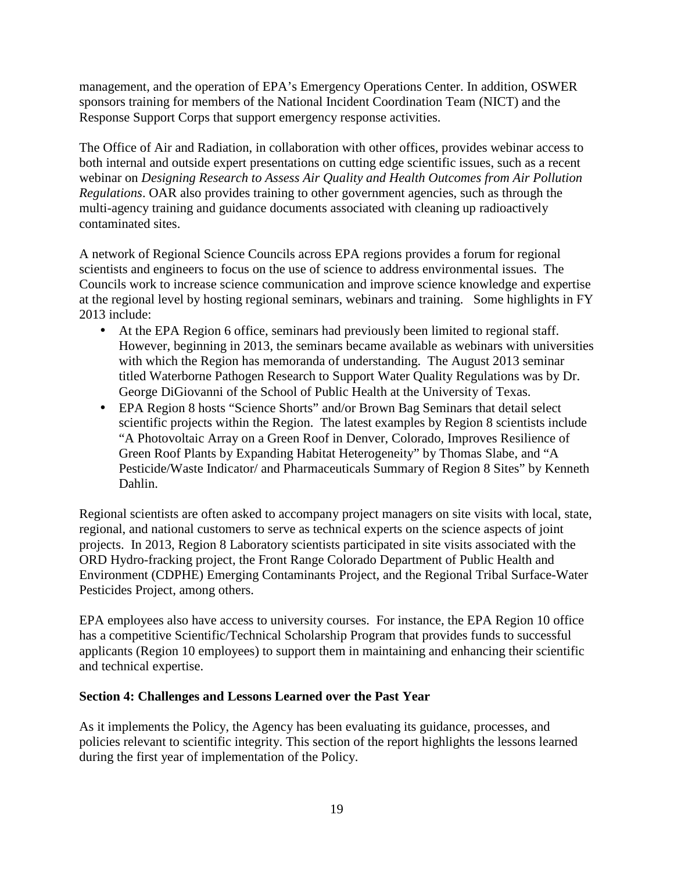management, and the operation of EPA's Emergency Operations Center. In addition, OSWER sponsors training for members of the National Incident Coordination Team (NICT) and the Response Support Corps that support emergency response activities.

 The Office of Air and Radiation, in collaboration with other offices, provides webinar access to both internal and outside expert presentations on cutting edge scientific issues, such as a recent webinar on *Designing Research to Assess Air Quality and Health Outcomes from Air Pollution Regulations*. OAR also provides training to other government agencies, such as through the multi-agency training and guidance documents associated with cleaning up radioactively contaminated sites.

 A network of Regional Science Councils across EPA regions provides a forum for regional scientists and engineers to focus on the use of science to address environmental issues. The Councils work to increase science communication and improve science knowledge and expertise at the regional level by hosting regional seminars, webinars and training. Some highlights in FY 2013 include:

- At the EPA Region 6 office, seminars had previously been limited to regional staff. However, beginning in 2013, the seminars became available as webinars with universities with which the Region has memoranda of understanding. The August 2013 seminar titled Waterborne Pathogen Research to Support Water Quality Regulations was by Dr. George DiGiovanni of the School of Public Health at the University of Texas.
- EPA Region 8 hosts "Science Shorts" and/or Brown Bag Seminars that detail select scientific projects within the Region. The latest examples by Region 8 scientists include "A Photovoltaic Array on a Green Roof in Denver, Colorado, Improves Resilience of Green Roof Plants by Expanding Habitat Heterogeneity" by Thomas Slabe, and "A Pesticide/Waste Indicator/ and Pharmaceuticals Summary of Region 8 Sites" by Kenneth Dahlin.

 Regional scientists are often asked to accompany project managers on site visits with local, state, regional, and national customers to serve as technical experts on the science aspects of joint projects. In 2013, Region 8 Laboratory scientists participated in site visits associated with the ORD Hydro-fracking project, the Front Range Colorado Department of Public Health and Environment (CDPHE) Emerging Contaminants Project, and the Regional Tribal Surface-Water Pesticides Project, among others.

 EPA employees also have access to university courses. For instance, the EPA Region 10 office has a competitive Scientific/Technical Scholarship Program that provides funds to successful applicants (Region 10 employees) to support them in maintaining and enhancing their scientific and technical expertise.

#### **Section 4: Challenges and Lessons Learned over the Past Year**

 As it implements the Policy, the Agency has been evaluating its guidance, processes, and policies relevant to scientific integrity. This section of the report highlights the lessons learned during the first year of implementation of the Policy.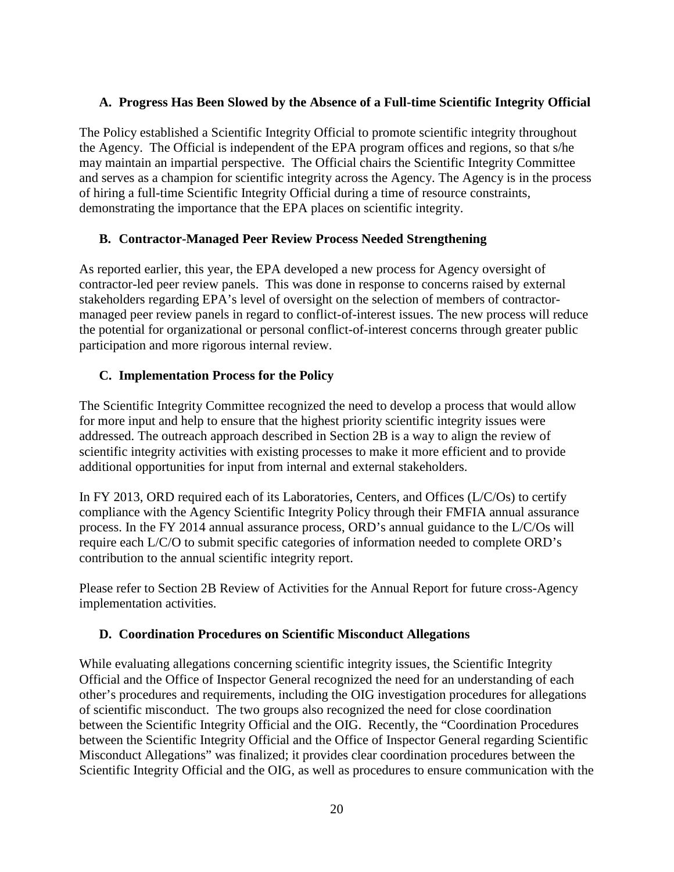# **A. Progress Has Been Slowed by the Absence of a Full-time Scientific Integrity Official**

 The Policy established a Scientific Integrity Official to promote scientific integrity throughout the Agency. The Official is independent of the EPA program offices and regions, so that s/he may maintain an impartial perspective. The Official chairs the Scientific Integrity Committee and serves as a champion for scientific integrity across the Agency. The Agency is in the process of hiring a full-time Scientific Integrity Official during a time of resource constraints, demonstrating the importance that the EPA places on scientific integrity.

#### **B. Contractor-Managed Peer Review Process Needed Strengthening**

 As reported earlier, this year, the EPA developed a new process for Agency oversight of contractor-led peer review panels. This was done in response to concerns raised by external stakeholders regarding EPA's level of oversight on the selection of members of contractor- managed peer review panels in regard to conflict-of-interest issues. The new process will reduce the potential for organizational or personal conflict-of-interest concerns through greater public participation and more rigorous internal review.

# **C. Implementation Process for the Policy**

 The Scientific Integrity Committee recognized the need to develop a process that would allow for more input and help to ensure that the highest priority scientific integrity issues were addressed. The outreach approach described in Section 2B is a way to align the review of scientific integrity activities with existing processes to make it more efficient and to provide additional opportunities for input from internal and external stakeholders.

 In FY 2013, ORD required each of its Laboratories, Centers, and Offices (L/C/Os) to certify compliance with the Agency Scientific Integrity Policy through their FMFIA annual assurance process. In the FY 2014 annual assurance process, ORD's annual guidance to the L/C/Os will require each L/C/O to submit specific categories of information needed to complete ORD's contribution to the annual scientific integrity report.

 Please refer to Section 2B Review of Activities for the Annual Report for future cross-Agency implementation activities.

# **D. Coordination Procedures on Scientific Misconduct Allegations**

 While evaluating allegations concerning scientific integrity issues, the Scientific Integrity Official and the Office of Inspector General recognized the need for an understanding of each other's procedures and requirements, including the OIG investigation procedures for allegations of scientific misconduct. The two groups also recognized the need for close coordination between the Scientific Integrity Official and the OIG. Recently, the "Coordination Procedures between the Scientific Integrity Official and the Office of Inspector General regarding Scientific Misconduct Allegations" was finalized; it provides clear coordination procedures between the Scientific Integrity Official and the OIG, as well as procedures to ensure communication with the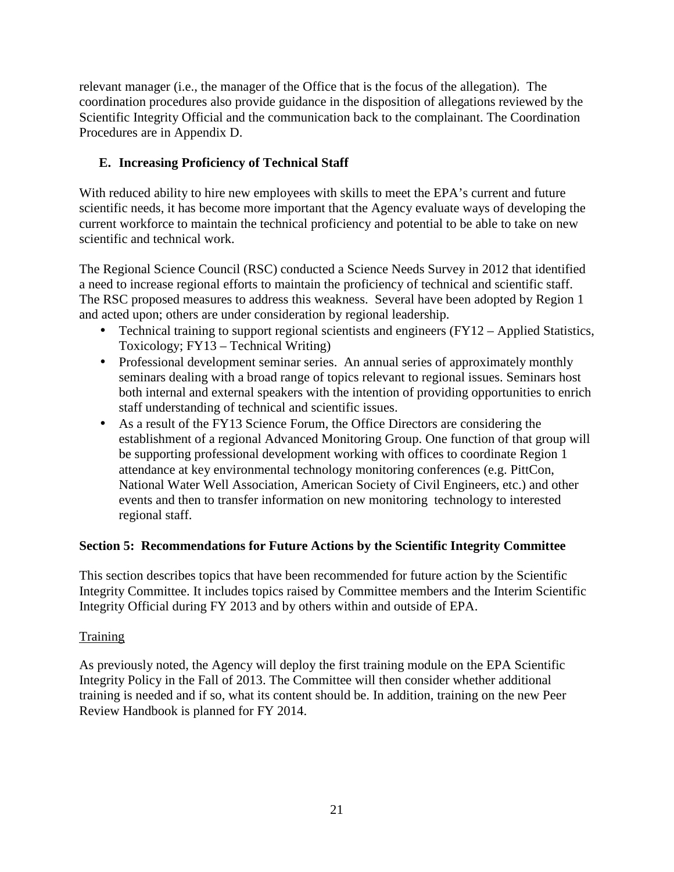relevant manager (i.e., the manager of the Office that is the focus of the allegation). The coordination procedures also provide guidance in the disposition of allegations reviewed by the Scientific Integrity Official and the communication back to the complainant. The Coordination Procedures are in Appendix D.

# **E. Increasing Proficiency of Technical Staff**

 With reduced ability to hire new employees with skills to meet the EPA's current and future scientific needs, it has become more important that the Agency evaluate ways of developing the current workforce to maintain the technical proficiency and potential to be able to take on new scientific and technical work.

 The Regional Science Council (RSC) conducted a Science Needs Survey in 2012 that identified a need to increase regional efforts to maintain the proficiency of technical and scientific staff. The RSC proposed measures to address this weakness. Several have been adopted by Region 1 and acted upon; others are under consideration by regional leadership.

- Technical training to support regional scientists and engineers (FY12 Applied Statistics, Toxicology; FY13 – Technical Writing)
- Professional development seminar series. An annual series of approximately monthly seminars dealing with a broad range of topics relevant to regional issues. Seminars host both internal and external speakers with the intention of providing opportunities to enrich staff understanding of technical and scientific issues.
- As a result of the FY13 Science Forum, the Office Directors are considering the establishment of a regional Advanced Monitoring Group. One function of that group will be supporting professional development working with offices to coordinate Region 1 attendance at key environmental technology monitoring conferences (e.g. PittCon, National Water Well Association, American Society of Civil Engineers, etc.) and other events and then to transfer information on new monitoring technology to interested regional staff.

# **Section 5: Recommendations for Future Actions by the Scientific Integrity Committee**

 This section describes topics that have been recommended for future action by the Scientific Integrity Committee. It includes topics raised by Committee members and the Interim Scientific Integrity Official during FY 2013 and by others within and outside of EPA.

#### Training

 As previously noted, the Agency will deploy the first training module on the EPA Scientific Integrity Policy in the Fall of 2013. The Committee will then consider whether additional training is needed and if so, what its content should be. In addition, training on the new Peer Review Handbook is planned for FY 2014.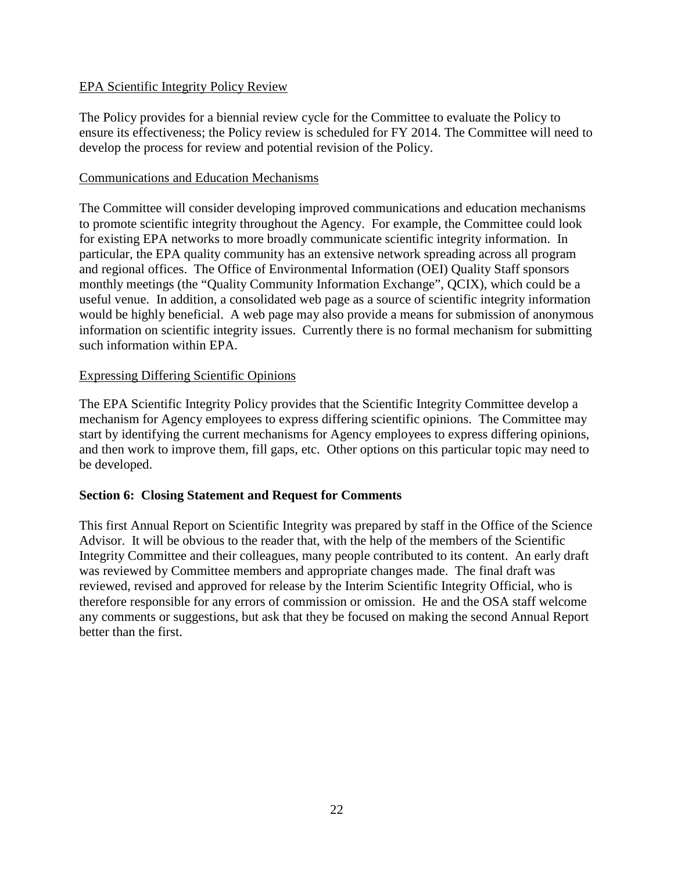# EPA Scientific Integrity Policy Review

 The Policy provides for a biennial review cycle for the Committee to evaluate the Policy to ensure its effectiveness; the Policy review is scheduled for FY 2014. The Committee will need to develop the process for review and potential revision of the Policy.

#### Communications and Education Mechanisms

 The Committee will consider developing improved communications and education mechanisms to promote scientific integrity throughout the Agency. For example, the Committee could look for existing EPA networks to more broadly communicate scientific integrity information. In particular, the EPA quality community has an extensive network spreading across all program and regional offices. The Office of Environmental Information (OEI) Quality Staff sponsors monthly meetings (the "Quality Community Information Exchange", QCIX), which could be a useful venue. In addition, a consolidated web page as a source of scientific integrity information would be highly beneficial. A web page may also provide a means for submission of anonymous information on scientific integrity issues. Currently there is no formal mechanism for submitting such information within EPA.

# Expressing Differing Scientific Opinions

 The EPA Scientific Integrity Policy provides that the Scientific Integrity Committee develop a mechanism for Agency employees to express differing scientific opinions. The Committee may start by identifying the current mechanisms for Agency employees to express differing opinions, and then work to improve them, fill gaps, etc. Other options on this particular topic may need to be developed.

#### **Section 6: Closing Statement and Request for Comments**

 This first Annual Report on Scientific Integrity was prepared by staff in the Office of the Science Advisor. It will be obvious to the reader that, with the help of the members of the Scientific Integrity Committee and their colleagues, many people contributed to its content. An early draft was reviewed by Committee members and appropriate changes made. The final draft was reviewed, revised and approved for release by the Interim Scientific Integrity Official, who is therefore responsible for any errors of commission or omission. He and the OSA staff welcome any comments or suggestions, but ask that they be focused on making the second Annual Report better than the first.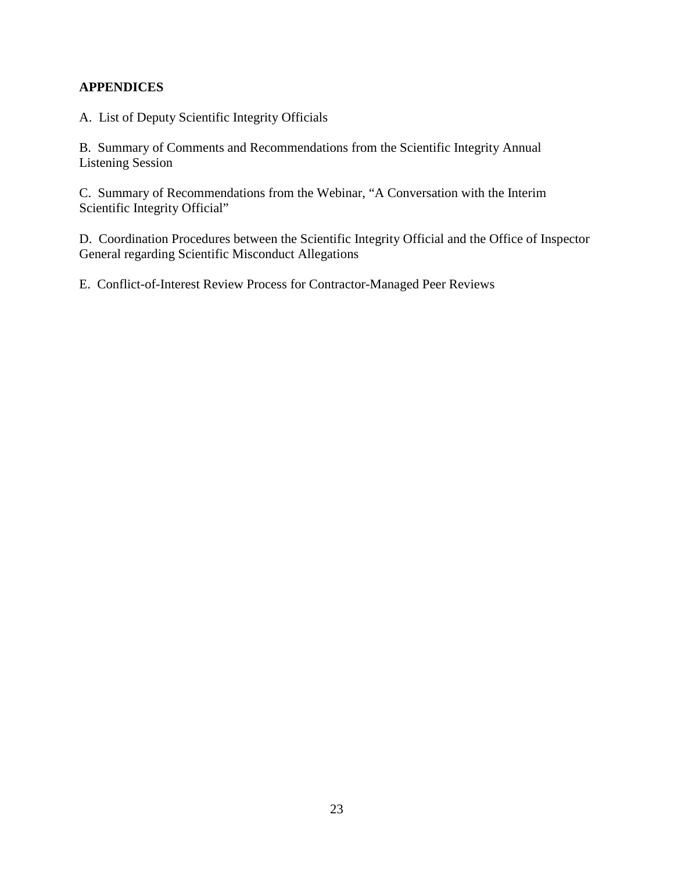# **APPENDICES**

A. List of Deputy Scientific Integrity Officials

 B. Summary of Comments and Recommendations from the Scientific Integrity Annual Listening Session

 C. Summary of Recommendations from the Webinar, "A Conversation with the Interim Scientific Integrity Official"

 D. Coordination Procedures between the Scientific Integrity Official and the Office of Inspector General regarding Scientific Misconduct Allegations

E. Conflict-of-Interest Review Process for Contractor-Managed Peer Reviews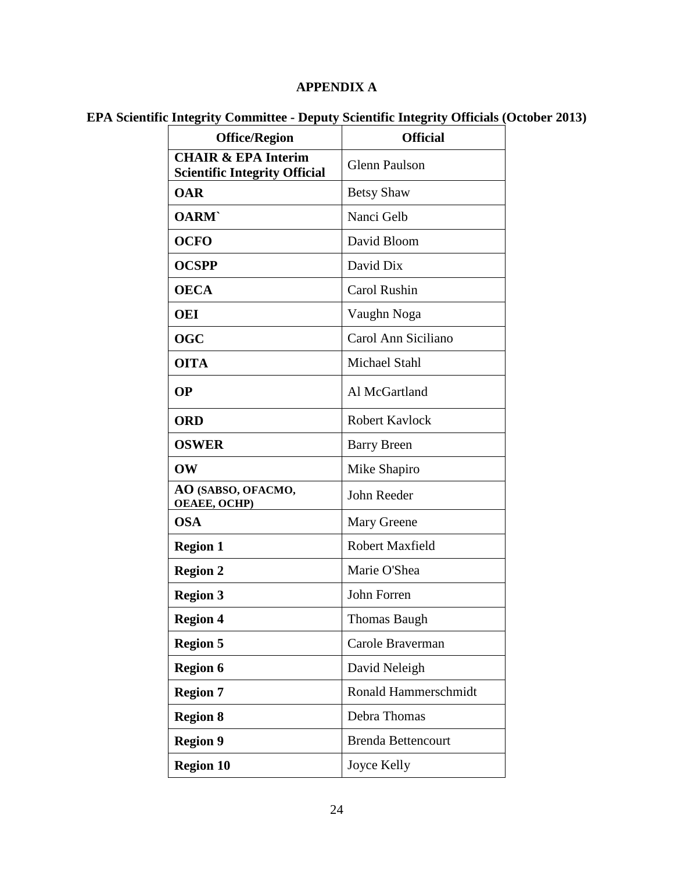#### **APPENDIX A**

#### **EPA Scientific Integrity Committee - Deputy Scientific Integrity Officials (October 2013)**

| <b>Office/Region</b>                                                   | <b>Official</b>           |
|------------------------------------------------------------------------|---------------------------|
| <b>CHAIR &amp; EPA Interim</b><br><b>Scientific Integrity Official</b> | <b>Glenn Paulson</b>      |
| <b>OAR</b>                                                             | <b>Betsy Shaw</b>         |
| <b>OARM</b>                                                            | Nanci Gelb                |
| <b>OCFO</b>                                                            | David Bloom               |
| <b>OCSPP</b>                                                           | David Dix                 |
| <b>OECA</b>                                                            | Carol Rushin              |
| OEI                                                                    | Vaughn Noga               |
| <b>OGC</b>                                                             | Carol Ann Siciliano       |
| <b>OITA</b>                                                            | <b>Michael Stahl</b>      |
| <b>OP</b>                                                              | Al McGartland             |
| <b>ORD</b>                                                             | <b>Robert Kavlock</b>     |
| <b>OSWER</b>                                                           | <b>Barry Breen</b>        |
| OW                                                                     | Mike Shapiro              |
| AO (SABSO, OFACMO,<br><b>OEAEE, OCHP)</b>                              | John Reeder               |
| <b>OSA</b>                                                             | Mary Greene               |
| <b>Region 1</b>                                                        | <b>Robert Maxfield</b>    |
| <b>Region 2</b>                                                        | Marie O'Shea              |
| <b>Region 3</b>                                                        | John Forren               |
| <b>Region 4</b>                                                        | <b>Thomas Baugh</b>       |
| <b>Region 5</b>                                                        | Carole Braverman          |
| <b>Region 6</b>                                                        | David Neleigh             |
| <b>Region 7</b>                                                        | Ronald Hammerschmidt      |
| <b>Region 8</b>                                                        | Debra Thomas              |
| <b>Region 9</b>                                                        | <b>Brenda Bettencourt</b> |
| <b>Region 10</b>                                                       | Joyce Kelly               |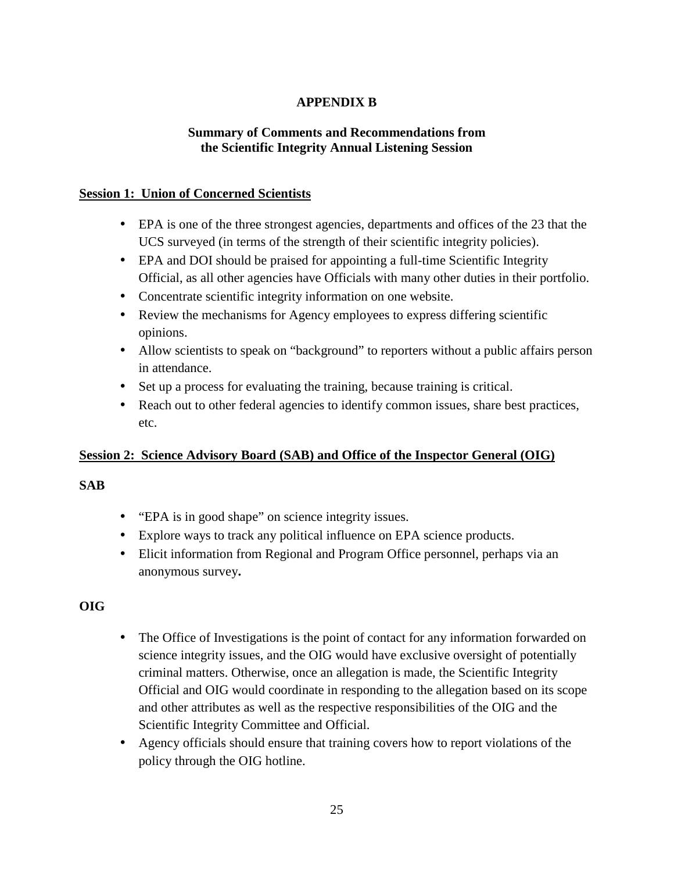# **APPENDIX B**

# **Summary of Comments and Recommendations from the Scientific Integrity Annual Listening Session**

# **Session 1: Union of Concerned Scientists**

- EPA is one of the three strongest agencies, departments and offices of the 23 that the UCS surveyed (in terms of the strength of their scientific integrity policies).
- EPA and DOI should be praised for appointing a full-time Scientific Integrity Official, as all other agencies have Officials with many other duties in their portfolio.
- Concentrate scientific integrity information on one website.
- Review the mechanisms for Agency employees to express differing scientific opinions.
- Allow scientists to speak on "background" to reporters without a public affairs person in attendance.
- Set up a process for evaluating the training, because training is critical.
- Reach out to other federal agencies to identify common issues, share best practices, etc.

# **<u>Session 2: Science Advisory Board (SAB) and Office of the Inspector General (OIG)</u>**

# **SAB**

- "EPA is in good shape" on science integrity issues.
- • Explore ways to track any political influence on EPA science products.
- Elicit information from Regional and Program Office personnel, perhaps via an anonymous survey**.**

# **OIG**

- The Office of Investigations is the point of contact for any information forwarded on science integrity issues, and the OIG would have exclusive oversight of potentially criminal matters. Otherwise, once an allegation is made, the Scientific Integrity Official and OIG would coordinate in responding to the allegation based on its scope and other attributes as well as the respective responsibilities of the OIG and the Scientific Integrity Committee and Official.
- Agency officials should ensure that training covers how to report violations of the policy through the OIG hotline.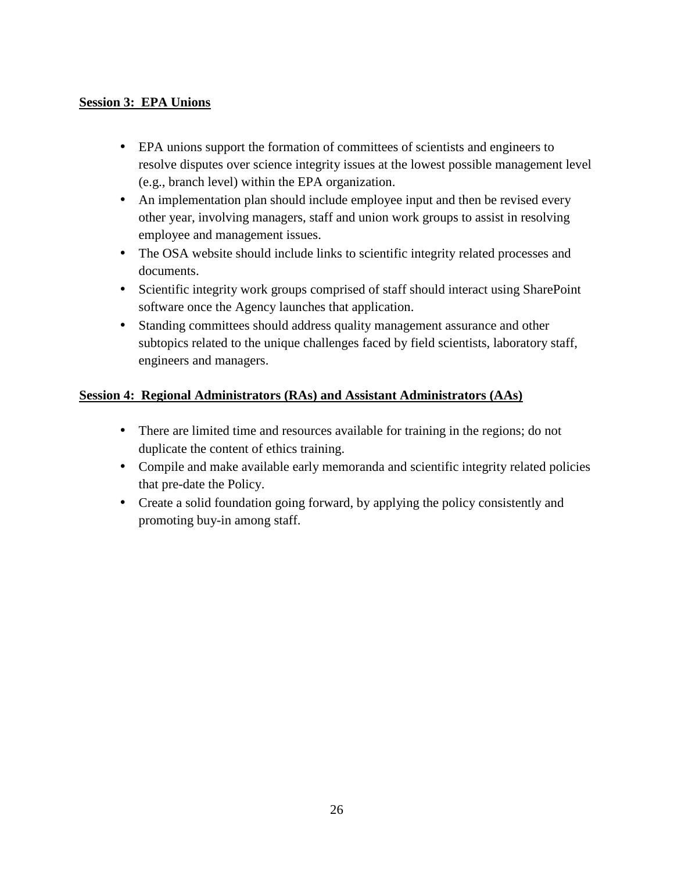# **Session 3: EPA Unions**

- • EPA unions support the formation of committees of scientists and engineers to resolve disputes over science integrity issues at the lowest possible management level (e.g., branch level) within the EPA organization.
- An implementation plan should include employee input and then be revised every other year, involving managers, staff and union work groups to assist in resolving employee and management issues.
- The OSA website should include links to scientific integrity related processes and documents.
- Scientific integrity work groups comprised of staff should interact using SharePoint software once the Agency launches that application.
- • Standing committees should address quality management assurance and other subtopics related to the unique challenges faced by field scientists, laboratory staff, engineers and managers.

# **Session 4: Regional Administrators (RAs) and Assistant Administrators (AAs)**

- There are limited time and resources available for training in the regions; do not duplicate the content of ethics training.
- Compile and make available early memoranda and scientific integrity related policies that pre-date the Policy.
- Create a solid foundation going forward, by applying the policy consistently and promoting buy-in among staff.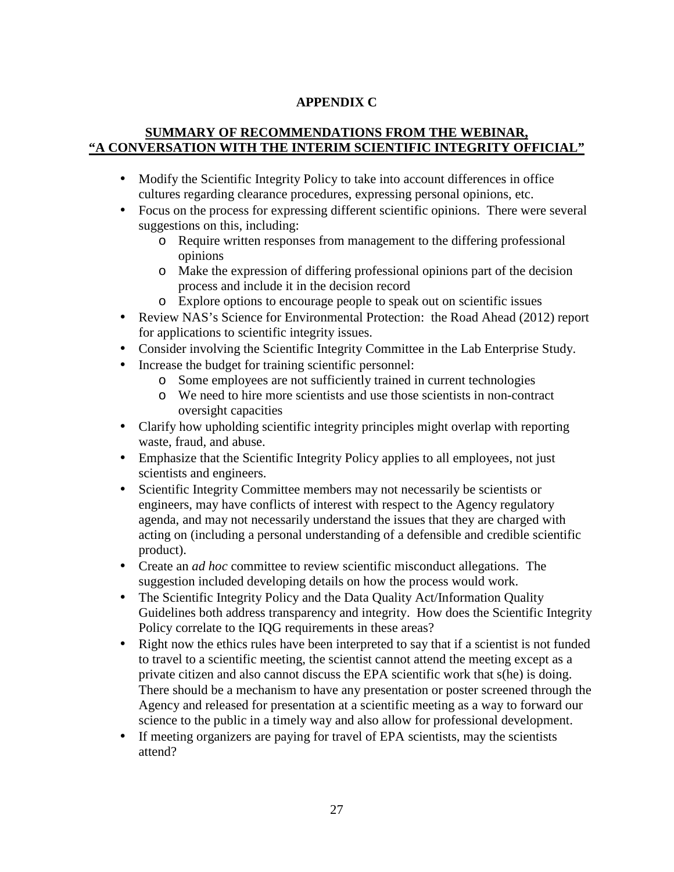# **APPENDIX C**

## **SUMMARY OF RECOMMENDATIONS FROM THE WEBINAR, "A CONVERSATION WITH THE INTERIM SCIENTIFIC INTEGRITY OFFICIAL"**

- Modify the Scientific Integrity Policy to take into account differences in office cultures regarding clearance procedures, expressing personal opinions, etc.
- Focus on the process for expressing different scientific opinions. There were several suggestions on this, including:
	- o Require written responses from management to the differing professional opinions
	- o Make the expression of differing professional opinions part of the decision process and include it in the decision record
	- o Explore options to encourage people to speak out on scientific issues
- Review NAS's Science for Environmental Protection: the Road Ahead (2012) report for applications to scientific integrity issues.
- Consider involving the Scientific Integrity Committee in the Lab Enterprise Study.
- Increase the budget for training scientific personnel:
	- o Some employees are not sufficiently trained in current technologies
	- o We need to hire more scientists and use those scientists in non-contract oversight capacities
- Clarify how upholding scientific integrity principles might overlap with reporting waste, fraud, and abuse.
- Emphasize that the Scientific Integrity Policy applies to all employees, not just scientists and engineers.
- • Scientific Integrity Committee members may not necessarily be scientists or engineers, may have conflicts of interest with respect to the Agency regulatory agenda, and may not necessarily understand the issues that they are charged with acting on (including a personal understanding of a defensible and credible scientific product).
- • Create an *ad hoc* committee to review scientific misconduct allegations. The suggestion included developing details on how the process would work.
- The Scientific Integrity Policy and the Data Quality Act/Information Quality Guidelines both address transparency and integrity. How does the Scientific Integrity Policy correlate to the IQG requirements in these areas?
- Right now the ethics rules have been interpreted to say that if a scientist is not funded to travel to a scientific meeting, the scientist cannot attend the meeting except as a private citizen and also cannot discuss the EPA scientific work that s(he) is doing. There should be a mechanism to have any presentation or poster screened through the Agency and released for presentation at a scientific meeting as a way to forward our science to the public in a timely way and also allow for professional development.
- If meeting organizers are paying for travel of EPA scientists, may the scientists attend?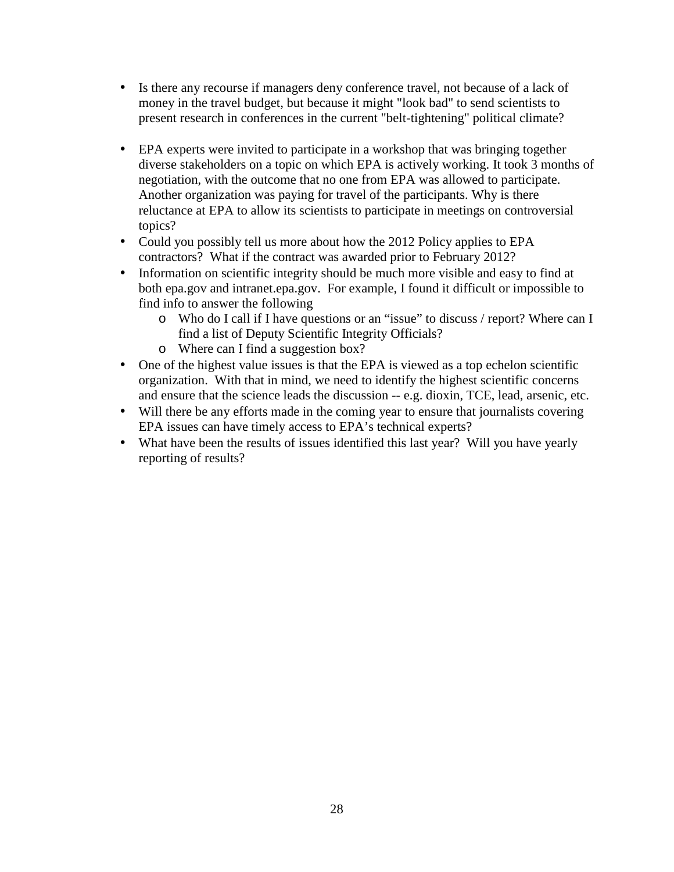- Is there any recourse if managers deny conference travel, not because of a lack of money in the travel budget, but because it might "look bad" to send scientists to present research in conferences in the current "belt-tightening" political climate?
- EPA experts were invited to participate in a workshop that was bringing together diverse stakeholders on a topic on which EPA is actively working. It took 3 months of negotiation, with the outcome that no one from EPA was allowed to participate. Another organization was paying for travel of the participants. Why is there reluctance at EPA to allow its scientists to participate in meetings on controversial topics?
- Could you possibly tell us more about how the 2012 Policy applies to EPA contractors? What if the contract was awarded prior to February 2012?
- Information on scientific integrity should be much more visible and easy to find at both epa.gov and intranet.epa.gov. For example, I found it difficult or impossible to find info to answer the following
	- o Who do I call if I have questions or an "issue" to discuss / report? Where can I find a list of Deputy Scientific Integrity Officials?
	- o Where can I find a suggestion box?
- One of the highest value issues is that the EPA is viewed as a top echelon scientific organization. With that in mind, we need to identify the highest scientific concerns and ensure that the science leads the discussion -- e.g. dioxin, TCE, lead, arsenic, etc.
- Will there be any efforts made in the coming year to ensure that journalists covering EPA issues can have timely access to EPA's technical experts?
- What have been the results of issues identified this last year? Will you have yearly reporting of results?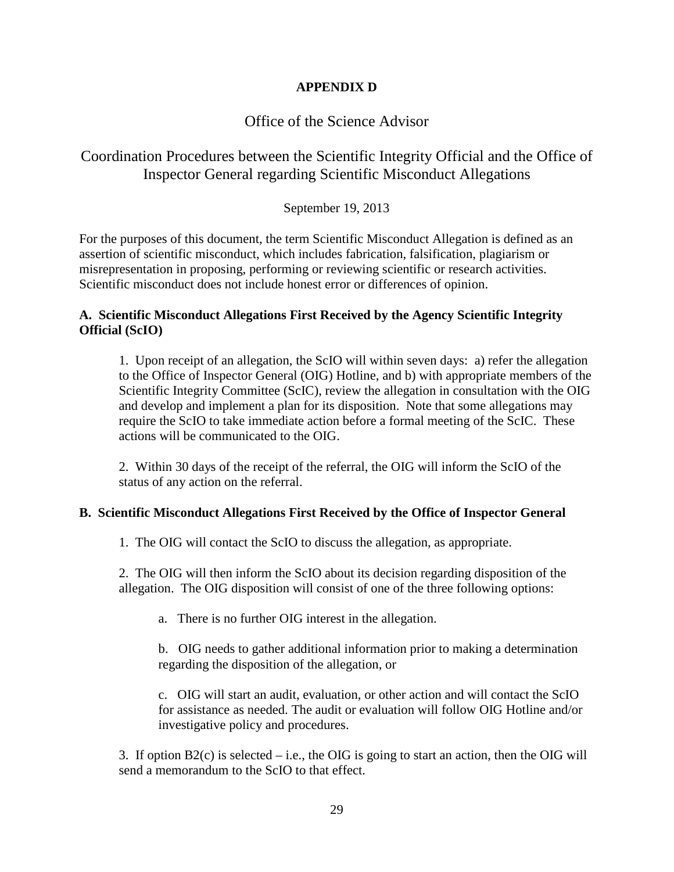## **APPENDIX D**

# Office of the Science Advisor

# Coordination Procedures between the Scientific Integrity Official and the Office of Inspector General regarding Scientific Misconduct Allegations

# September 19, 2013

 For the purposes of this document, the term Scientific Misconduct Allegation is defined as an assertion of scientific misconduct, which includes fabrication, falsification, plagiarism or misrepresentation in proposing, performing or reviewing scientific or research activities. Scientific misconduct does not include honest error or differences of opinion.

#### **A. Scientific Misconduct Allegations First Received by the Agency Scientific Integrity Official (ScIO)**

 1. Upon receipt of an allegation, the ScIO will within seven days: a) refer the allegation to the Office of Inspector General (OIG) Hotline, and b) with appropriate members of the Scientific Integrity Committee (ScIC), review the allegation in consultation with the OIG and develop and implement a plan for its disposition. Note that some allegations may require the ScIO to take immediate action before a formal meeting of the ScIC. These actions will be communicated to the OIG.

 2. Within 30 days of the receipt of the referral, the OIG will inform the ScIO of the status of any action on the referral.

#### **B. Scientific Misconduct Allegations First Received by the Office of Inspector General**

1. The OIG will contact the ScIO to discuss the allegation, as appropriate.

 2. The OIG will then inform the ScIO about its decision regarding disposition of the allegation. The OIG disposition will consist of one of the three following options:

a. There is no further OIG interest in the allegation.

 b. OIG needs to gather additional information prior to making a determination regarding the disposition of the allegation, or

 c. OIG will start an audit, evaluation, or other action and will contact the ScIO for assistance as needed. The audit or evaluation will follow OIG Hotline and/or investigative policy and procedures.

 3. If option B2(c) is selected – i.e., the OIG is going to start an action, then the OIG will send a memorandum to the ScIO to that effect.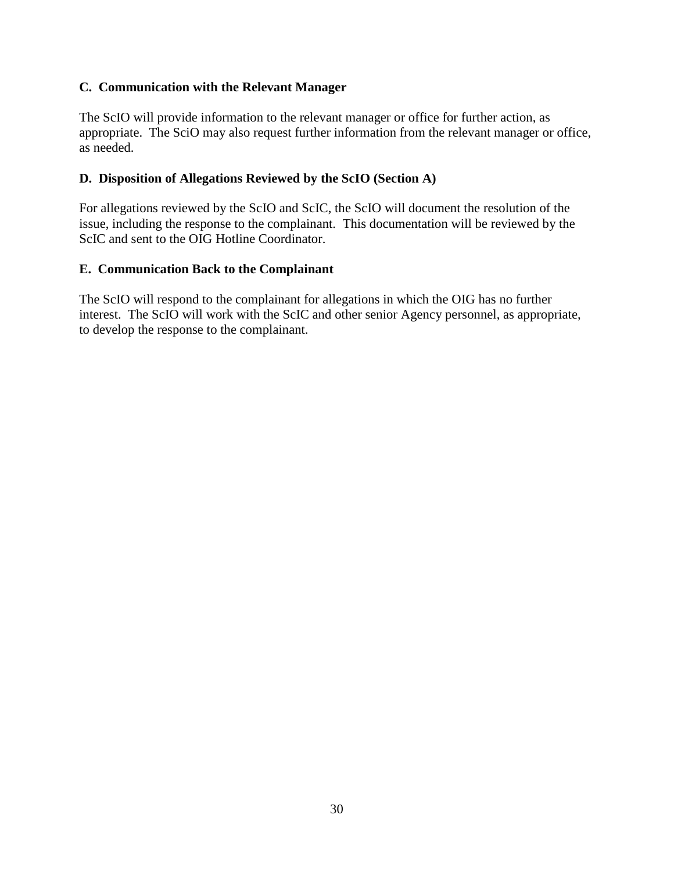## **C. Communication with the Relevant Manager**

 The ScIO will provide information to the relevant manager or office for further action, as appropriate. The SciO may also request further information from the relevant manager or office, as needed.

# **D. Disposition of Allegations Reviewed by the ScIO (Section A)**

 For allegations reviewed by the ScIO and ScIC, the ScIO will document the resolution of the issue, including the response to the complainant. This documentation will be reviewed by the ScIC and sent to the OIG Hotline Coordinator.

# **E. Communication Back to the Complainant**

 The ScIO will respond to the complainant for allegations in which the OIG has no further interest. The ScIO will work with the ScIC and other senior Agency personnel, as appropriate, to develop the response to the complainant.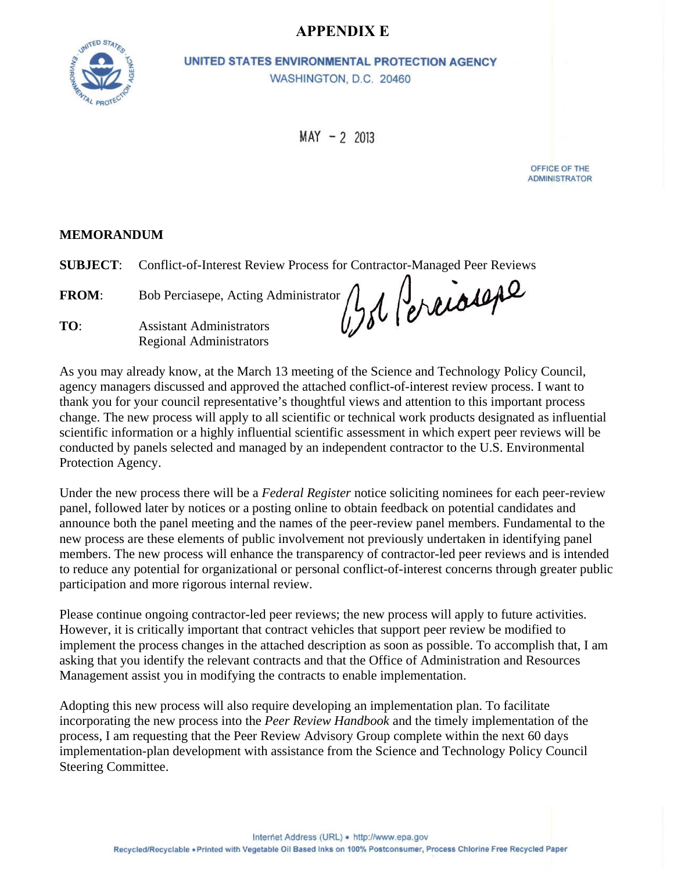# **APPENDIX E**



UNITED STATES ENVIRONMENTAL PROTECTION AGENCY WASHINGTON, D.C. 20460

 $MAY - 2 2013$ 

OFFICE OF THE **ADMINISTRATOR** 

#### **MEMORANDUM**

**SUBJECT**: Conflict-of-Interest Review Process for Contractor-Managed Peer Reviews

**FROM**: Bob Perciasepe, Acting Administrator **TO**: Assistant Administrators Regional Administrators

As you may already know, at the March 13 meeting of the Science and Technology Policy Council, agency managers discussed and approved the attached conflict-of-interest review process. I want to thank you for your council representative's thoughtful views and attention to this important process change. The new process will apply to all scientific or technical work products designated as influential scientific information or a highly influential scientific assessment in which expert peer reviews will be conducted by panels selected and managed by an independent contractor to the U.S. Environmental Protection Agency.

Under the new process there will be a *Federal Register* notice soliciting nominees for each peer-review panel, followed later by notices or a posting online to obtain feedback on potential candidates and announce both the panel meeting and the names of the peer-review panel members. Fundamental to the new process are these elements of public involvement not previously undertaken in identifying panel members. The new process will enhance the transparency of contractor-led peer reviews and is intended to reduce any potential for organizational or personal conflict-of-interest concerns through greater public participation and more rigorous internal review.

Please continue ongoing contractor-led peer reviews; the new process will apply to future activities. However, it is critically important that contract vehicles that support peer review be modified to implement the process changes in the attached description as soon as possible. To accomplish that, I am asking that you identify the relevant contracts and that the Office of Administration and Resources Management assist you in modifying the contracts to enable implementation.

Adopting this new process will also require developing an implementation plan. To facilitate incorporating the new process into the *Peer Review Handbook* and the timely implementation of the process, I am requesting that the Peer Review Advisory Group complete within the next 60 days implementation-plan development with assistance from the Science and Technology Policy Council Steering Committee.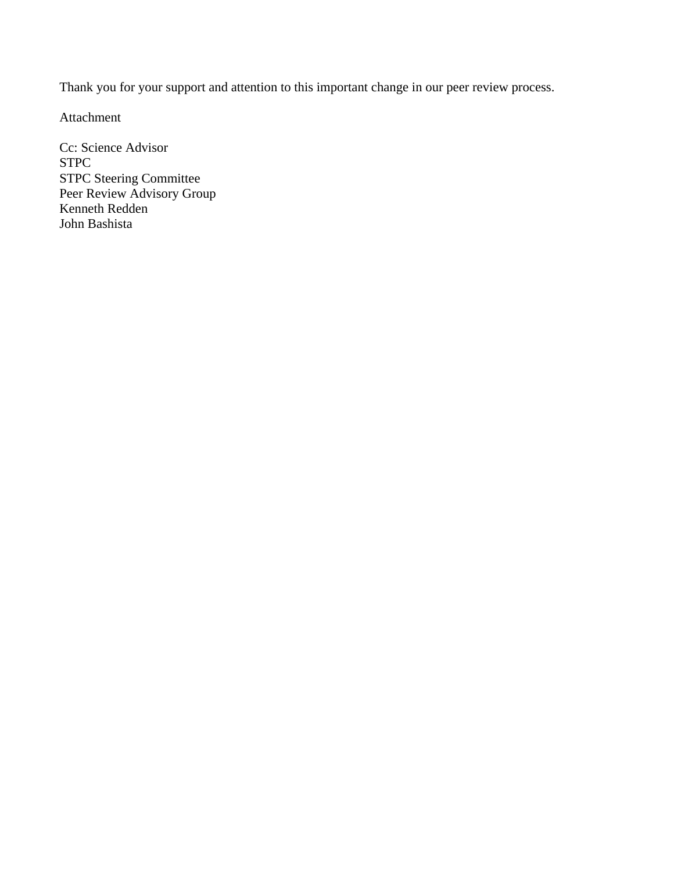Thank you for your support and attention to this important change in our peer review process.

Attachment

Cc: Science Advisor STPC STPC Steering Committee Peer Review Advisory Group Kenneth Redden John Bashista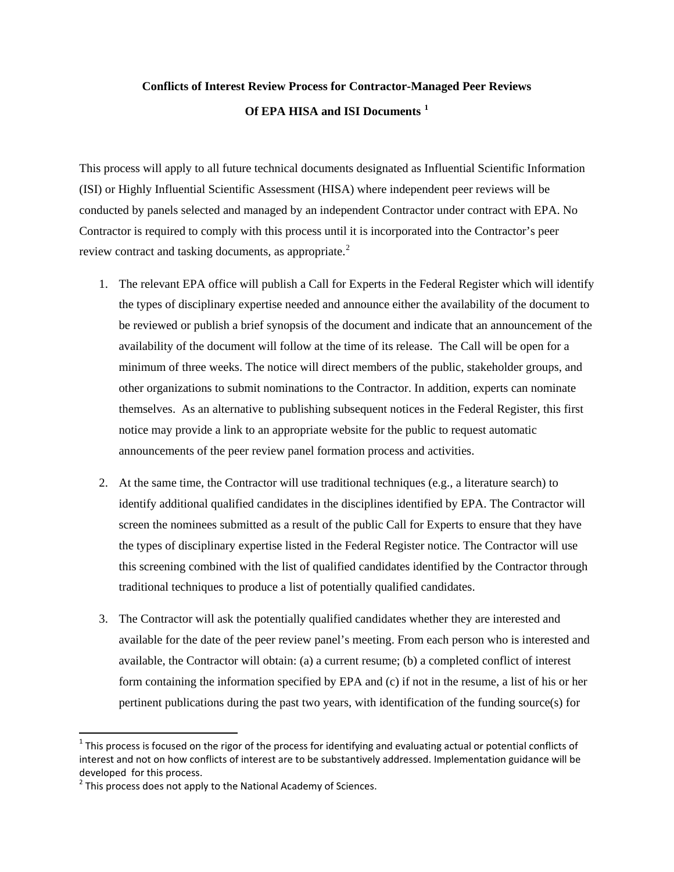# **Conflicts of Interest Review Process for Contractor-Managed Peer Reviews Of EPA HISA and ISI Documents [1](#page-35-0)**

This process will apply to all future technical documents designated as Influential Scientific Information (ISI) or Highly Influential Scientific Assessment (HISA) where independent peer reviews will be conducted by panels selected and managed by an independent Contractor under contract with EPA. No Contractor is required to comply with this process until it is incorporated into the Contractor's peer review contract and tasking documents, as appropriate.<sup>[2](#page-35-1)</sup>

- 1. The relevant EPA office will publish a Call for Experts in the Federal Register which will identify the types of disciplinary expertise needed and announce either the availability of the document to be reviewed or publish a brief synopsis of the document and indicate that an announcement of the availability of the document will follow at the time of its release. The Call will be open for a minimum of three weeks. The notice will direct members of the public, stakeholder groups, and other organizations to submit nominations to the Contractor. In addition, experts can nominate themselves. As an alternative to publishing subsequent notices in the Federal Register, this first notice may provide a link to an appropriate website for the public to request automatic announcements of the peer review panel formation process and activities.
- 2. At the same time, the Contractor will use traditional techniques (e.g., a literature search) to identify additional qualified candidates in the disciplines identified by EPA. The Contractor will screen the nominees submitted as a result of the public Call for Experts to ensure that they have the types of disciplinary expertise listed in the Federal Register notice. The Contractor will use this screening combined with the list of qualified candidates identified by the Contractor through traditional techniques to produce a list of potentially qualified candidates.
- 3. The Contractor will ask the potentially qualified candidates whether they are interested and available for the date of the peer review panel's meeting. From each person who is interested and available, the Contractor will obtain: (a) a current resume; (b) a completed conflict of interest form containing the information specified by EPA and (c) if not in the resume, a list of his or her pertinent publications during the past two years, with identification of the funding source(s) for

 $\overline{\phantom{a}}$ 

<span id="page-35-0"></span> $1$  This process is focused on the rigor of the process for identifying and evaluating actual or potential conflicts of interest and not on how conflicts of interest are to be substantively addressed. Implementation guidance will be developed for this process.

<span id="page-35-1"></span> $2$  This process does not apply to the National Academy of Sciences.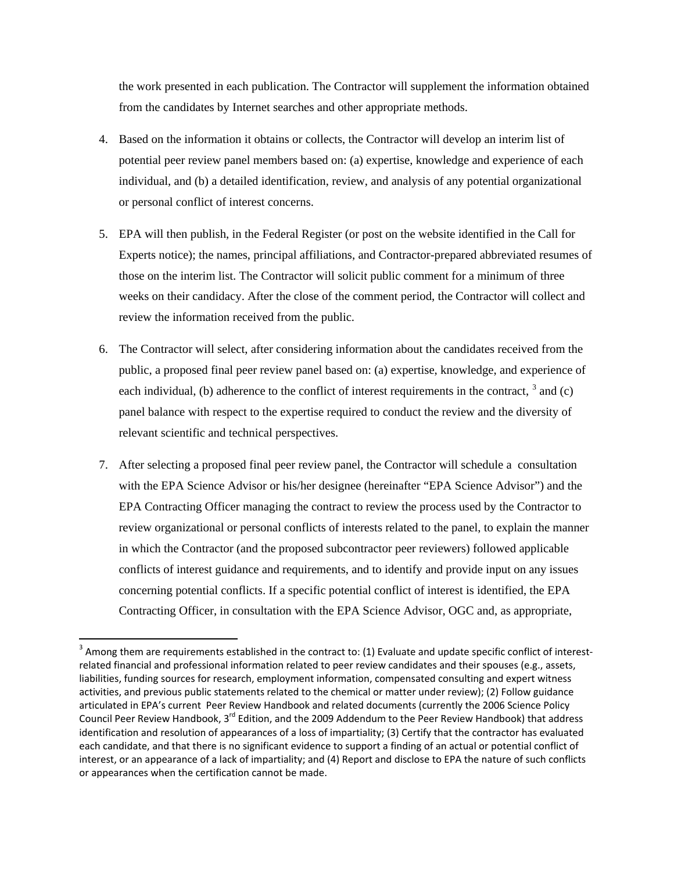the work presented in each publication. The Contractor will supplement the information obtained from the candidates by Internet searches and other appropriate methods.

- 4. Based on the information it obtains or collects, the Contractor will develop an interim list of potential peer review panel members based on: (a) expertise, knowledge and experience of each individual, and (b) a detailed identification, review, and analysis of any potential organizational or personal conflict of interest concerns.
- 5. EPA will then publish, in the Federal Register (or post on the website identified in the Call for Experts notice); the names, principal affiliations, and Contractor-prepared abbreviated resumes of those on the interim list. The Contractor will solicit public comment for a minimum of three weeks on their candidacy. After the close of the comment period, the Contractor will collect and review the information received from the public.
- 6. The Contractor will select, after considering information about the candidates received from the public, a proposed final peer review panel based on: (a) expertise, knowledge, and experience of each individual, (b) adherence to the conflict of interest requirements in the contract,  $\frac{3}{3}$  $\frac{3}{3}$  $\frac{3}{3}$  and (c) panel balance with respect to the expertise required to conduct the review and the diversity of relevant scientific and technical perspectives.
- 7. After selecting a proposed final peer review panel, the Contractor will schedule a consultation with the EPA Science Advisor or his/her designee (hereinafter "EPA Science Advisor") and the EPA Contracting Officer managing the contract to review the process used by the Contractor to review organizational or personal conflicts of interests related to the panel, to explain the manner in which the Contractor (and the proposed subcontractor peer reviewers) followed applicable conflicts of interest guidance and requirements, and to identify and provide input on any issues concerning potential conflicts. If a specific potential conflict of interest is identified, the EPA Contracting Officer, in consultation with the EPA Science Advisor, OGC and, as appropriate,

 $\overline{a}$ 

<span id="page-36-0"></span> $3$  Among them are requirements established in the contract to: (1) Evaluate and update specific conflict of interestrelated financial and professional information related to peer review candidates and their spouses (e.g., assets, liabilities, funding sources for research, employment information, compensated consulting and expert witness activities, and previous public statements related to the chemical or matter under review); (2) Follow guidance articulated in EPA's current Peer Review Handbook and related documents (currently the 2006 Science Policy Council Peer Review Handbook, 3<sup>rd</sup> Edition, and the 2009 Addendum to the Peer Review Handbook) that address identification and resolution of appearances of a loss of impartiality; (3) Certify that the contractor has evaluated each candidate, and that there is no significant evidence to support a finding of an actual or potential conflict of interest, or an appearance of a lack of impartiality; and (4) Report and disclose to EPA the nature of such conflicts or appearances when the certification cannot be made.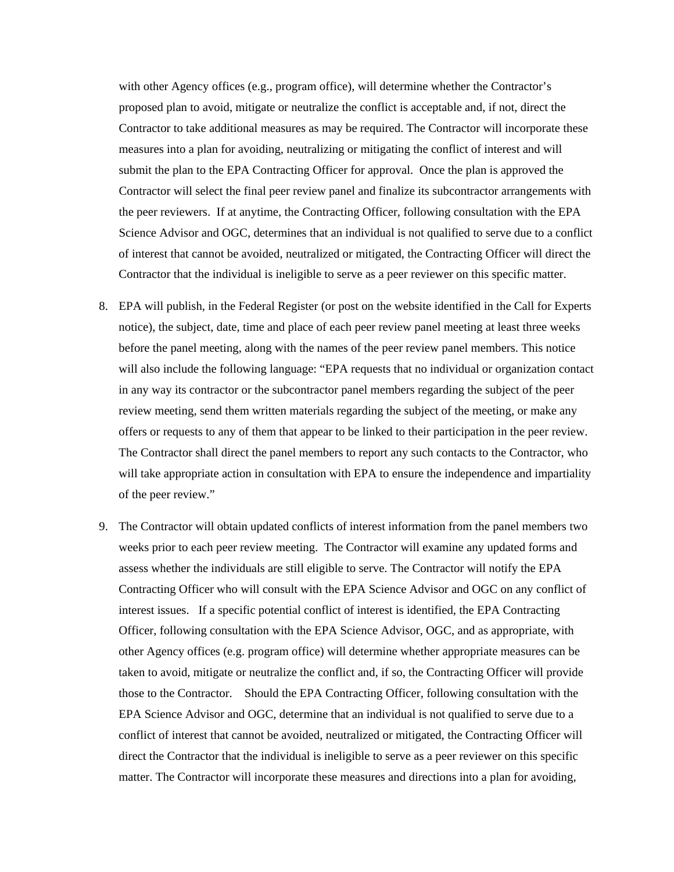with other Agency offices (e.g., program office), will determine whether the Contractor's proposed plan to avoid, mitigate or neutralize the conflict is acceptable and, if not, direct the Contractor to take additional measures as may be required. The Contractor will incorporate these measures into a plan for avoiding, neutralizing or mitigating the conflict of interest and will submit the plan to the EPA Contracting Officer for approval. Once the plan is approved the Contractor will select the final peer review panel and finalize its subcontractor arrangements with the peer reviewers. If at anytime, the Contracting Officer, following consultation with the EPA Science Advisor and OGC, determines that an individual is not qualified to serve due to a conflict of interest that cannot be avoided, neutralized or mitigated, the Contracting Officer will direct the Contractor that the individual is ineligible to serve as a peer reviewer on this specific matter.

- 8. EPA will publish, in the Federal Register (or post on the website identified in the Call for Experts notice), the subject, date, time and place of each peer review panel meeting at least three weeks before the panel meeting, along with the names of the peer review panel members. This notice will also include the following language: "EPA requests that no individual or organization contact in any way its contractor or the subcontractor panel members regarding the subject of the peer review meeting, send them written materials regarding the subject of the meeting, or make any offers or requests to any of them that appear to be linked to their participation in the peer review. The Contractor shall direct the panel members to report any such contacts to the Contractor, who will take appropriate action in consultation with EPA to ensure the independence and impartiality of the peer review."
- 9. The Contractor will obtain updated conflicts of interest information from the panel members two weeks prior to each peer review meeting. The Contractor will examine any updated forms and assess whether the individuals are still eligible to serve. The Contractor will notify the EPA Contracting Officer who will consult with the EPA Science Advisor and OGC on any conflict of interest issues. If a specific potential conflict of interest is identified, the EPA Contracting Officer, following consultation with the EPA Science Advisor, OGC, and as appropriate, with other Agency offices (e.g. program office) will determine whether appropriate measures can be taken to avoid, mitigate or neutralize the conflict and, if so, the Contracting Officer will provide those to the Contractor. Should the EPA Contracting Officer, following consultation with the EPA Science Advisor and OGC, determine that an individual is not qualified to serve due to a conflict of interest that cannot be avoided, neutralized or mitigated, the Contracting Officer will direct the Contractor that the individual is ineligible to serve as a peer reviewer on this specific matter. The Contractor will incorporate these measures and directions into a plan for avoiding,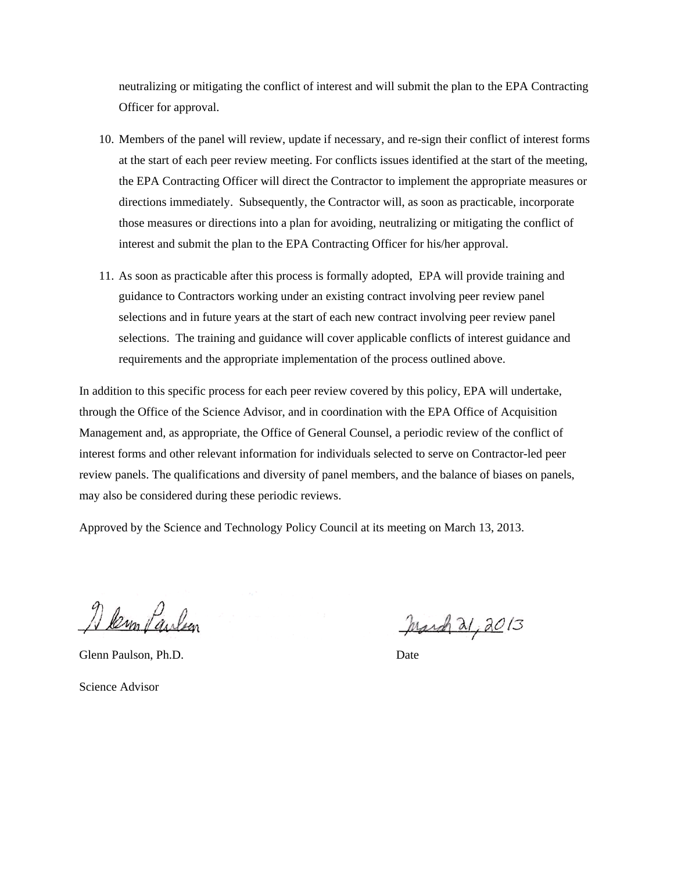neutralizing or mitigating the conflict of interest and will submit the plan to the EPA Contracting Officer for approval.

- 10. Members of the panel will review, update if necessary, and re-sign their conflict of interest forms at the start of each peer review meeting. For conflicts issues identified at the start of the meeting, the EPA Contracting Officer will direct the Contractor to implement the appropriate measures or directions immediately. Subsequently, the Contractor will, as soon as practicable, incorporate those measures or directions into a plan for avoiding, neutralizing or mitigating the conflict of interest and submit the plan to the EPA Contracting Officer for his/her approval.
- 11. As soon as practicable after this process is formally adopted, EPA will provide training and guidance to Contractors working under an existing contract involving peer review panel selections and in future years at the start of each new contract involving peer review panel selections. The training and guidance will cover applicable conflicts of interest guidance and requirements and the appropriate implementation of the process outlined above.

In addition to this specific process for each peer review covered by this policy, EPA will undertake, through the Office of the Science Advisor, and in coordination with the EPA Office of Acquisition Management and, as appropriate, the Office of General Counsel, a periodic review of the conflict of interest forms and other relevant information for individuals selected to serve on Contractor-led peer review panels. The qualifications and diversity of panel members, and the balance of biases on panels, may also be considered during these periodic reviews.

Approved by the Science and Technology Policy Council at its meeting on March 13, 2013.

A lem Paulson

Glenn Paulson, Ph.D. Date

Science Advisor

March 21, 2013